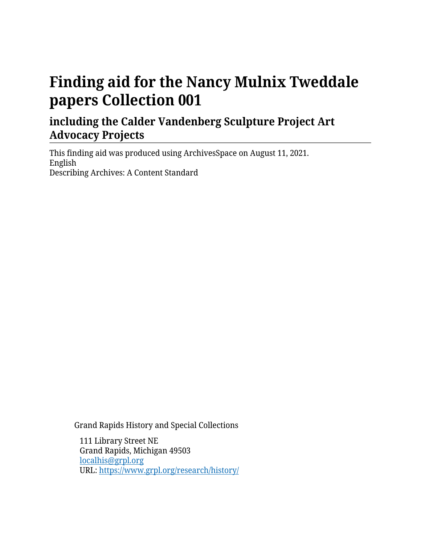# **Finding aid for the Nancy Mulnix Tweddale papers Collection 001**

## **including the Calder Vandenberg Sculpture Project Art Advocacy Projects**

This finding aid was produced using ArchivesSpace on August 11, 2021. English Describing Archives: A Content Standard

Grand Rapids History and Special Collections

111 Library Street NE Grand Rapids, Michigan 49503 [localhis@grpl.org](mailto:localhis@grpl.org) URL:<https://www.grpl.org/research/history/>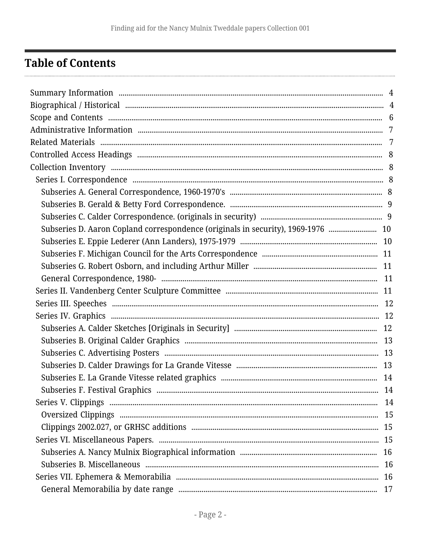## <span id="page-1-0"></span>**Table of Contents**

| Subseries D. Aaron Copland correspondence (originals in security), 1969-1976  10 |  |
|----------------------------------------------------------------------------------|--|
|                                                                                  |  |
|                                                                                  |  |
|                                                                                  |  |
|                                                                                  |  |
|                                                                                  |  |
|                                                                                  |  |
|                                                                                  |  |
|                                                                                  |  |
|                                                                                  |  |
|                                                                                  |  |
|                                                                                  |  |
|                                                                                  |  |
|                                                                                  |  |
|                                                                                  |  |
|                                                                                  |  |
|                                                                                  |  |
|                                                                                  |  |
|                                                                                  |  |
|                                                                                  |  |
|                                                                                  |  |
|                                                                                  |  |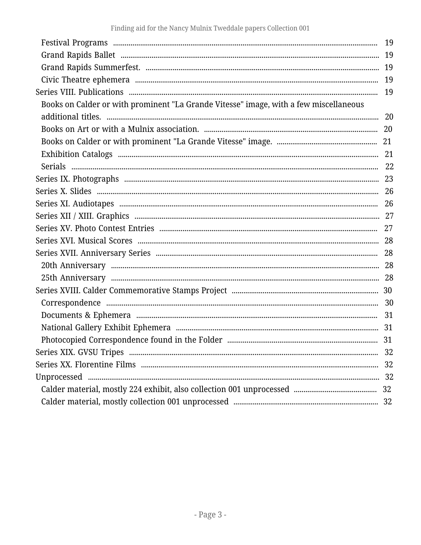| Books on Calder or with prominent "La Grande Vitesse" image, with a few miscellaneous |  |
|---------------------------------------------------------------------------------------|--|
|                                                                                       |  |
|                                                                                       |  |
|                                                                                       |  |
|                                                                                       |  |
|                                                                                       |  |
|                                                                                       |  |
|                                                                                       |  |
|                                                                                       |  |
|                                                                                       |  |
|                                                                                       |  |
|                                                                                       |  |
|                                                                                       |  |
|                                                                                       |  |
|                                                                                       |  |
|                                                                                       |  |
|                                                                                       |  |
|                                                                                       |  |
|                                                                                       |  |
|                                                                                       |  |
|                                                                                       |  |
|                                                                                       |  |
|                                                                                       |  |
|                                                                                       |  |
|                                                                                       |  |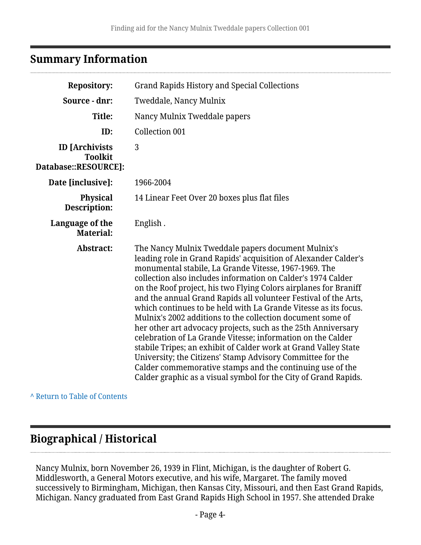## <span id="page-3-0"></span>**Summary Information**

| <b>Repository:</b>                                              | <b>Grand Rapids History and Special Collections</b>                                                                                                                                                                                                                                                                                                                                                                                                                                                                                                                                                                                                                                                                                                                                                                                                                                                                     |  |
|-----------------------------------------------------------------|-------------------------------------------------------------------------------------------------------------------------------------------------------------------------------------------------------------------------------------------------------------------------------------------------------------------------------------------------------------------------------------------------------------------------------------------------------------------------------------------------------------------------------------------------------------------------------------------------------------------------------------------------------------------------------------------------------------------------------------------------------------------------------------------------------------------------------------------------------------------------------------------------------------------------|--|
| Source - dnr:                                                   | Tweddale, Nancy Mulnix                                                                                                                                                                                                                                                                                                                                                                                                                                                                                                                                                                                                                                                                                                                                                                                                                                                                                                  |  |
| Title:                                                          | Nancy Mulnix Tweddale papers                                                                                                                                                                                                                                                                                                                                                                                                                                                                                                                                                                                                                                                                                                                                                                                                                                                                                            |  |
| ID:                                                             | Collection 001                                                                                                                                                                                                                                                                                                                                                                                                                                                                                                                                                                                                                                                                                                                                                                                                                                                                                                          |  |
| <b>ID</b> [Archivists<br><b>Toolkit</b><br>Database::RESOURCE]: | 3                                                                                                                                                                                                                                                                                                                                                                                                                                                                                                                                                                                                                                                                                                                                                                                                                                                                                                                       |  |
| Date [inclusive]:                                               | 1966-2004                                                                                                                                                                                                                                                                                                                                                                                                                                                                                                                                                                                                                                                                                                                                                                                                                                                                                                               |  |
| <b>Physical</b><br>Description:                                 | 14 Linear Feet Over 20 boxes plus flat files                                                                                                                                                                                                                                                                                                                                                                                                                                                                                                                                                                                                                                                                                                                                                                                                                                                                            |  |
| Language of the<br><b>Material:</b>                             | English.                                                                                                                                                                                                                                                                                                                                                                                                                                                                                                                                                                                                                                                                                                                                                                                                                                                                                                                |  |
| Abstract:                                                       | The Nancy Mulnix Tweddale papers document Mulnix's<br>leading role in Grand Rapids' acquisition of Alexander Calder's<br>monumental stabile, La Grande Vitesse, 1967-1969. The<br>collection also includes information on Calder's 1974 Calder<br>on the Roof project, his two Flying Colors airplanes for Braniff<br>and the annual Grand Rapids all volunteer Festival of the Arts,<br>which continues to be held with La Grande Vitesse as its focus.<br>Mulnix's 2002 additions to the collection document some of<br>her other art advocacy projects, such as the 25th Anniversary<br>celebration of La Grande Vitesse; information on the Calder<br>stabile Tripes; an exhibit of Calder work at Grand Valley State<br>University; the Citizens' Stamp Advisory Committee for the<br>Calder commemorative stamps and the continuing use of the<br>Calder graphic as a visual symbol for the City of Grand Rapids. |  |

**^** [Return to Table of Contents](#page-1-0)

## <span id="page-3-1"></span>**Biographical / Historical**

Nancy Mulnix, born November 26, 1939 in Flint, Michigan, is the daughter of Robert G. Middlesworth, a General Motors executive, and his wife, Margaret. The family moved successively to Birmingham, Michigan, then Kansas City, Missouri, and then East Grand Rapids, Michigan. Nancy graduated from East Grand Rapids High School in 1957. She attended Drake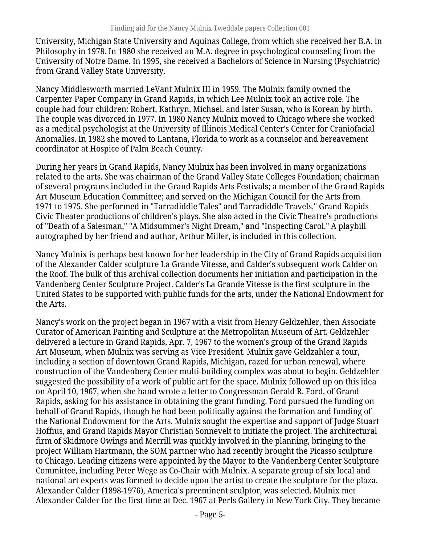University, Michigan State University and Aquinas College, from which she received her B.A. in Philosophy in 1978. In 1980 she received an M.A. degree in psychological counseling from the University of Notre Dame. In 1995, she received a Bachelors of Science in Nursing (Psychiatric) from Grand Valley State University.

Nancy Middlesworth married LeVant Mulnix III in 1959. The Mulnix family owned the Carpenter Paper Company in Grand Rapids, in which Lee Mulnix took an active role. The couple had four children: Robert, Kathryn, Michael, and later Susan, who is Korean by birth. The couple was divorced in 1977. In 1980 Nancy Mulnix moved to Chicago where she worked as a medical psychologist at the University of Illinois Medical Center's Center for Craniofacial Anomalies. In 1982 she moved to Lantana, Florida to work as a counselor and bereavement coordinator at Hospice of Palm Beach County.

During her years in Grand Rapids, Nancy Mulnix has been involved in many organizations related to the arts. She was chairman of the Grand Valley State Colleges Foundation; chairman of several programs included in the Grand Rapids Arts Festivals; a member of the Grand Rapids Art Museum Education Committee; and served on the Michigan Council for the Arts from 1971 to 1975. She performed in "Tarradiddle Tales" and Tarradiddle Travels," Grand Rapids Civic Theater productions of children's plays. She also acted in the Civic Theatre's productions of "Death of a Salesman," "A Midsummer's Night Dream," and "Inspecting Carol." A playbill autographed by her friend and author, Arthur Miller, is included in this collection.

Nancy Mulnix is perhaps best known for her leadership in the City of Grand Rapids acquisition of the Alexander Calder sculpture La Grande Vitesse, and Calder's subsequent work Calder on the Roof. The bulk of this archival collection documents her initiation and participation in the Vandenberg Center Sculpture Project. Calder's La Grande Vitesse is the first sculpture in the United States to be supported with public funds for the arts, under the National Endowment for the Arts.

Nancy's work on the project began in 1967 with a visit from Henry Geldzehler, then Associate Curator of American Painting and Sculpture at the Metropolitan Museum of Art. Geldzehler delivered a lecture in Grand Rapids, Apr. 7, 1967 to the women's group of the Grand Rapids Art Museum, when Mulnix was serving as Vice President. Mulnix gave Geldzahler a tour, including a section of downtown Grand Rapids, Michigan, razed for urban renewal, where construction of the Vandenberg Center multi-building complex was about to begin. Geldzehler suggested the possibility of a work of public art for the space. Mulnix followed up on this idea on April 10, 1967, when she hand wrote a letter to Congressman Gerald R. Ford, of Grand Rapids, asking for his assistance in obtaining the grant funding. Ford pursued the funding on behalf of Grand Rapids, though he had been politically against the formation and funding of the National Endowment for the Arts. Mulnix sought the expertise and support of Judge Stuart Hoffius, and Grand Rapids Mayor Christian Sonnevelt to initiate the project. The architectural firm of Skidmore Owings and Merrill was quickly involved in the planning, bringing to the project William Hartmann, the SOM partner who had recently brought the Picasso sculpture to Chicago. Leading citizens were appointed by the Mayor to the Vandenberg Center Sculpture Committee, including Peter Wege as Co-Chair with Mulnix. A separate group of six local and national art experts was formed to decide upon the artist to create the sculpture for the plaza. Alexander Calder (1898-1976), America's preeminent sculptor, was selected. Mulnix met Alexander Calder for the first time at Dec. 1967 at Perls Gallery in New York City. They became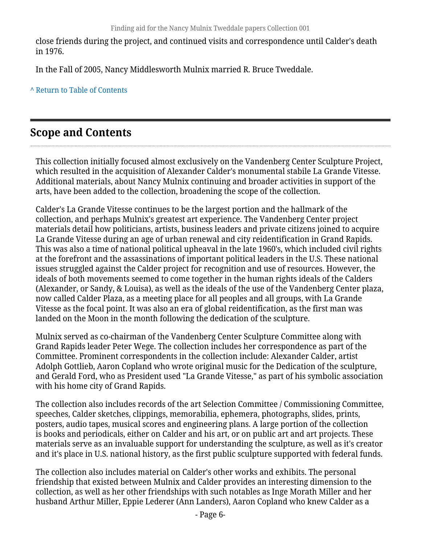close friends during the project, and continued visits and correspondence until Calder's death in 1976.

In the Fall of 2005, Nancy Middlesworth Mulnix married R. Bruce Tweddale.

**^** [Return to Table of Contents](#page-1-0)

## <span id="page-5-0"></span>**Scope and Contents**

This collection initially focused almost exclusively on the Vandenberg Center Sculpture Project, which resulted in the acquisition of Alexander Calder's monumental stabile La Grande Vitesse. Additional materials, about Nancy Mulnix continuing and broader activities in support of the arts, have been added to the collection, broadening the scope of the collection.

Calder's La Grande Vitesse continues to be the largest portion and the hallmark of the collection, and perhaps Mulnix's greatest art experience. The Vandenberg Center project materials detail how politicians, artists, business leaders and private citizens joined to acquire La Grande Vitesse during an age of urban renewal and city reidentification in Grand Rapids. This was also a time of national political upheaval in the late 1960's, which included civil rights at the forefront and the assassinations of important political leaders in the U.S. These national issues struggled against the Calder project for recognition and use of resources. However, the ideals of both movements seemed to come together in the human rights ideals of the Calders (Alexander, or Sandy, & Louisa), as well as the ideals of the use of the Vandenberg Center plaza, now called Calder Plaza, as a meeting place for all peoples and all groups, with La Grande Vitesse as the focal point. It was also an era of global reidentification, as the first man was landed on the Moon in the month following the dedication of the sculpture.

Mulnix served as co-chairman of the Vandenberg Center Sculpture Committee along with Grand Rapids leader Peter Wege. The collection includes her correspondence as part of the Committee. Prominent correspondents in the collection include: Alexander Calder, artist Adolph Gottlieb, Aaron Copland who wrote original music for the Dedication of the sculpture, and Gerald Ford, who as President used "La Grande Vitesse," as part of his symbolic association with his home city of Grand Rapids.

The collection also includes records of the art Selection Committee / Commissioning Committee, speeches, Calder sketches, clippings, memorabilia, ephemera, photographs, slides, prints, posters, audio tapes, musical scores and engineering plans. A large portion of the collection is books and periodicals, either on Calder and his art, or on public art and art projects. These materials serve as an invaluable support for understanding the sculpture, as well as it's creator and it's place in U.S. national history, as the first public sculpture supported with federal funds.

The collection also includes material on Calder's other works and exhibits. The personal friendship that existed between Mulnix and Calder provides an interesting dimension to the collection, as well as her other friendships with such notables as Inge Morath Miller and her husband Arthur Miller, Eppie Lederer (Ann Landers), Aaron Copland who knew Calder as a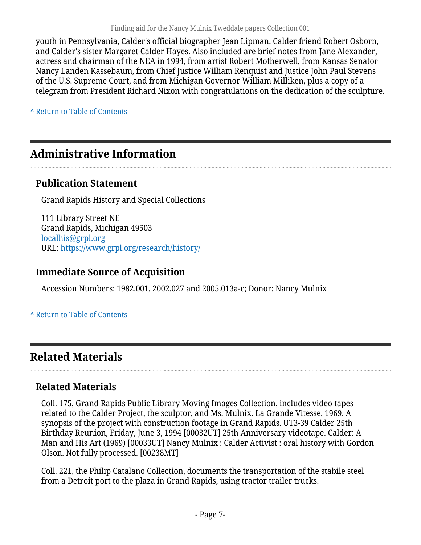youth in Pennsylvania, Calder's official biographer Jean Lipman, Calder friend Robert Osborn, and Calder's sister Margaret Calder Hayes. Also included are brief notes from Jane Alexander, actress and chairman of the NEA in 1994, from artist Robert Motherwell, from Kansas Senator Nancy Landen Kassebaum, from Chief Justice William Renquist and Justice John Paul Stevens of the U.S. Supreme Court, and from Michigan Governor William Milliken, plus a copy of a telegram from President Richard Nixon with congratulations on the dedication of the sculpture.

**^** [Return to Table of Contents](#page-1-0)

## <span id="page-6-0"></span>**Administrative Information**

### **Publication Statement**

Grand Rapids History and Special Collections

111 Library Street NE Grand Rapids, Michigan 49503 [localhis@grpl.org](mailto:localhis@grpl.org) URL:<https://www.grpl.org/research/history/>

### **Immediate Source of Acquisition**

Accession Numbers: 1982.001, 2002.027 and 2005.013a-c; Donor: Nancy Mulnix

### **^** [Return to Table of Contents](#page-1-0)

## <span id="page-6-1"></span>**Related Materials**

## **Related Materials**

Coll. 175, Grand Rapids Public Library Moving Images Collection, includes video tapes related to the Calder Project, the sculptor, and Ms. Mulnix. La Grande Vitesse, 1969. A synopsis of the project with construction footage in Grand Rapids. UT3-39 Calder 25th Birthday Reunion, Friday, June 3, 1994 [00032UT] 25th Anniversary videotape. Calder: A Man and His Art (1969) [00033UT] Nancy Mulnix : Calder Activist : oral history with Gordon Olson. Not fully processed. [00238MT]

Coll. 221, the Philip Catalano Collection, documents the transportation of the stabile steel from a Detroit port to the plaza in Grand Rapids, using tractor trailer trucks.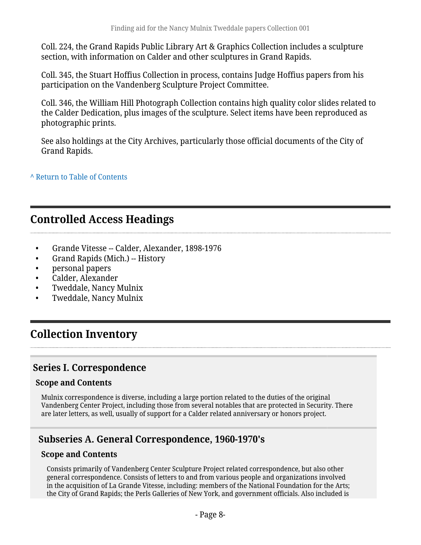Coll. 224, the Grand Rapids Public Library Art & Graphics Collection includes a sculpture section, with information on Calder and other sculptures in Grand Rapids.

Coll. 345, the Stuart Hoffius Collection in process, contains Judge Hoffius papers from his participation on the Vandenberg Sculpture Project Committee.

Coll. 346, the William Hill Photograph Collection contains high quality color slides related to the Calder Dedication, plus images of the sculpture. Select items have been reproduced as photographic prints.

See also holdings at the City Archives, particularly those official documents of the City of Grand Rapids.

**^** [Return to Table of Contents](#page-1-0)

## <span id="page-7-0"></span>**Controlled Access Headings**

- Grande Vitesse -- Calder, Alexander, 1898-1976
- Grand Rapids (Mich.) -- History
- personal papers
- Calder, Alexander
- Tweddale, Nancy Mulnix
- Tweddale, Nancy Mulnix

## <span id="page-7-1"></span>**Collection Inventory**

### <span id="page-7-2"></span>**Series I. Correspondence**

#### **Scope and Contents**

Mulnix correspondence is diverse, including a large portion related to the duties of the original Vandenberg Center Project, including those from several notables that are protected in Security. There are later letters, as well, usually of support for a Calder related anniversary or honors project.

### <span id="page-7-3"></span>**Subseries A. General Correspondence, 1960-1970's**

#### **Scope and Contents**

Consists primarily of Vandenberg Center Sculpture Project related correspondence, but also other general correspondence. Consists of letters to and from various people and organizations involved in the acquisition of La Grande Vitesse, including: members of the National Foundation for the Arts; the City of Grand Rapids; the Perls Galleries of New York, and government officials. Also included is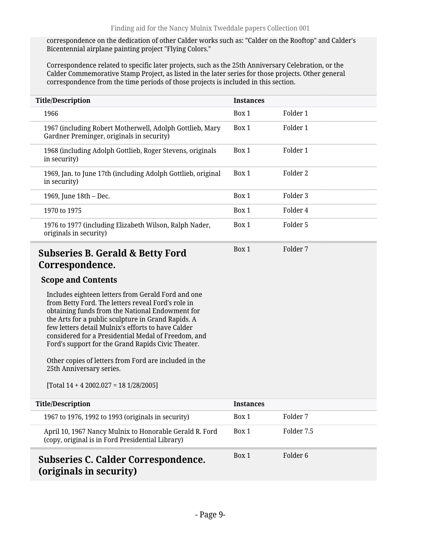correspondence on the dedication of other Calder works such as: "Calder on the Rooftop" and Calder's Bicentennial airplane painting project "Flying Colors."

Correspondence related to specific later projects, such as the 25th Anniversary Celebration, or the Calder Commemorative Stamp Project, as listed in the later series for those projects. Other general correspondence from the time periods of those projects is included in this section.

| <b>Title/Description</b>                                                                              | <b>Instances</b> |          |
|-------------------------------------------------------------------------------------------------------|------------------|----------|
| 1966                                                                                                  | Box 1            | Folder 1 |
| 1967 (including Robert Motherwell, Adolph Gottlieb, Mary<br>Gardner Preminger, originals in security) | Box 1            | Folder 1 |
| 1968 (including Adolph Gottlieb, Roger Stevens, originals<br>in security)                             | Box 1            | Folder 1 |
| 1969, Jan. to June 17th (including Adolph Gottlieb, original<br>in security)                          | Box 1            | Folder 2 |
| 1969, June 18th - Dec.                                                                                | Box 1            | Folder 3 |
| 1970 to 1975                                                                                          | Box 1            | Folder 4 |
| 1976 to 1977 (including Elizabeth Wilson, Ralph Nader,<br>originals in security)                      | Box 1            | Folder 5 |
| <b>Subseries B. Gerald &amp; Betty Ford</b>                                                           | Box 1            | Folder 7 |

### <span id="page-8-0"></span>**Correspondence.**

#### **Scope and Contents**

Includes eighteen letters from Gerald Ford and one from Betty Ford. The letters reveal Ford's role in obtaining funds from the National Endowment for the Arts for a public sculpture in Grand Rapids. A few letters detail Mulnix's efforts to have Calder considered for a Presidential Medal of Freedom, and Ford's support for the Grand Rapids Civic Theater.

Other copies of letters from Ford are included in the 25th Anniversary series.

[Total 14 + 4 2002.027 = 18 1/28/2005]

<span id="page-8-1"></span>

| <b>Title/Description</b>                                                                                    | <b>Instances</b> |            |
|-------------------------------------------------------------------------------------------------------------|------------------|------------|
| 1967 to 1976, 1992 to 1993 (originals in security)                                                          | Box 1            | Folder 7   |
| April 10, 1967 Nancy Mulnix to Honorable Gerald R. Ford<br>(copy, original is in Ford Presidential Library) | Box 1            | Folder 7.5 |
| Subseries C. Calder Correspondence.<br>(originals in security)                                              | Box 1            | Folder 6   |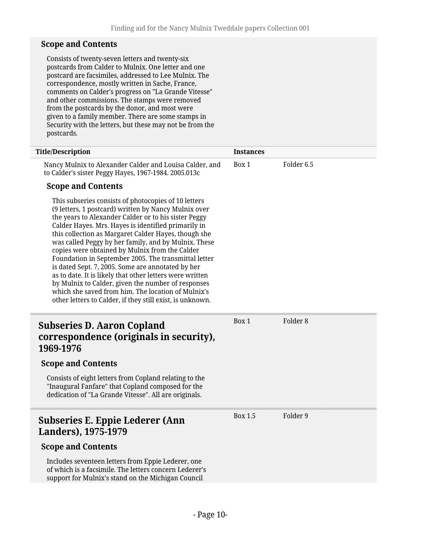#### **Scope and Contents**

Consists of twenty-seven letters and twenty-six postcards from Calder to Mulnix. One letter and one postcard are facsimiles, addressed to Lee Mulnix. The correspondence, mostly written in Sache, France, comments on Calder's progress on "La Grande Vitesse" and other commissions. The stamps were removed from the postcards by the donor, and most were given to a family member. There are some stamps in Security with the letters, but these may not be from the postcards.

<span id="page-9-1"></span><span id="page-9-0"></span>

| <b>Title/Description</b>                                                                                                                                                                                                                                                                                                                                                                                                                                                                                                                                                                                                                                                                                                                        | <b>Instances</b> |                       |
|-------------------------------------------------------------------------------------------------------------------------------------------------------------------------------------------------------------------------------------------------------------------------------------------------------------------------------------------------------------------------------------------------------------------------------------------------------------------------------------------------------------------------------------------------------------------------------------------------------------------------------------------------------------------------------------------------------------------------------------------------|------------------|-----------------------|
| Nancy Mulnix to Alexander Calder and Louisa Calder, and<br>to Calder's sister Peggy Hayes, 1967-1984. 2005.013c                                                                                                                                                                                                                                                                                                                                                                                                                                                                                                                                                                                                                                 | Box 1            | Folder <sub>6.5</sub> |
| <b>Scope and Contents</b>                                                                                                                                                                                                                                                                                                                                                                                                                                                                                                                                                                                                                                                                                                                       |                  |                       |
| This subseries consists of photocopies of 10 letters<br>(9 letters, 1 postcard) written by Nancy Mulnix over<br>the years to Alexander Calder or to his sister Peggy<br>Calder Hayes. Mrs. Hayes is identified primarily in<br>this collection as Margaret Calder Hayes, though she<br>was called Peggy by her family, and by Mulnix. These<br>copies were obtained by Mulnix from the Calder<br>Foundation in September 2005. The transmittal letter<br>is dated Sept. 7, 2005. Some are annotated by her<br>as to date. It is likely that other letters were written<br>by Mulnix to Calder, given the number of responses<br>which she saved from him. The location of Mulnix's<br>other letters to Calder, if they still exist, is unknown. |                  |                       |
| <b>Subseries D. Aaron Copland</b><br>correspondence (originals in security),<br>1969-1976                                                                                                                                                                                                                                                                                                                                                                                                                                                                                                                                                                                                                                                       | Box 1            | Folder <sub>8</sub>   |
| <b>Scope and Contents</b>                                                                                                                                                                                                                                                                                                                                                                                                                                                                                                                                                                                                                                                                                                                       |                  |                       |
| Consists of eight letters from Copland relating to the<br>"Inaugural Fanfare" that Copland composed for the<br>dedication of "La Grande Vitesse". All are originals.                                                                                                                                                                                                                                                                                                                                                                                                                                                                                                                                                                            |                  |                       |
| <b>Subseries E. Eppie Lederer (Ann</b><br>Landers), 1975-1979                                                                                                                                                                                                                                                                                                                                                                                                                                                                                                                                                                                                                                                                                   | <b>Box 1.5</b>   | Folder 9              |
| <b>Scope and Contents</b>                                                                                                                                                                                                                                                                                                                                                                                                                                                                                                                                                                                                                                                                                                                       |                  |                       |
| Includes seventeen letters from Eppie Lederer, one<br>of which is a facsimile. The letters concern Lederer's<br>support for Mulnix's stand on the Michigan Council                                                                                                                                                                                                                                                                                                                                                                                                                                                                                                                                                                              |                  |                       |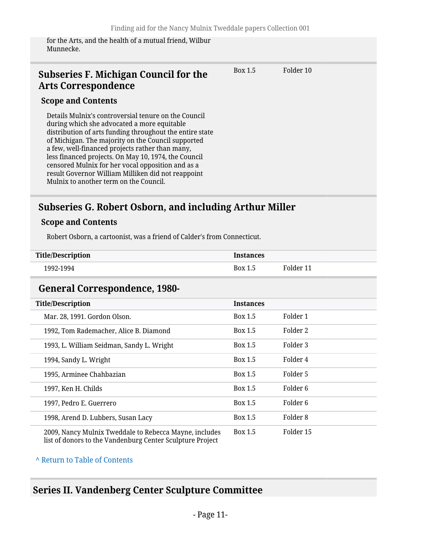for the Arts, and the health of a mutual friend, Wilbur Munnecke.

### <span id="page-10-0"></span>**Subseries F. Michigan Council for the Arts Correspondence**

Box 1.5 Folder 10

**Instances** 

#### **Scope and Contents**

Details Mulnix's controversial tenure on the Council during which she advocated a more equitable distribution of arts funding throughout the entire state of Michigan. The majority on the Council supported a few, well-financed projects rather than many, less financed projects. On May 10, 1974, the Council censored Mulnix for her vocal opposition and as a result Governor William Milliken did not reappoint Mulnix to another term on the Council.

### <span id="page-10-1"></span>**Subseries G. Robert Osborn, and including Arthur Miller**

#### **Scope and Contents**

Robert Osborn, a cartoonist, was a friend of Calder's from Connecticut.

| <b>Title/Description</b> |  |
|--------------------------|--|
|--------------------------|--|

1992-1994 Box 1.5 Folder 11

### <span id="page-10-2"></span>**General Correspondence, 1980-**

| <b>Title/Description</b>                                                                                            | <b>Instances</b> |           |
|---------------------------------------------------------------------------------------------------------------------|------------------|-----------|
| Mar. 28, 1991. Gordon Olson.                                                                                        | Box 1.5          | Folder 1  |
| 1992, Tom Rademacher, Alice B. Diamond                                                                              | Box 1.5          | Folder 2  |
| 1993, L. William Seidman, Sandy L. Wright                                                                           | Box 1.5          | Folder 3  |
| 1994, Sandy L. Wright                                                                                               | Box 1.5          | Folder 4  |
| 1995, Arminee Chahbazian                                                                                            | Box 1.5          | Folder 5  |
| 1997, Ken H. Childs                                                                                                 | Box 1.5          | Folder 6  |
| 1997, Pedro E. Guerrero                                                                                             | Box 1.5          | Folder 6  |
| 1998, Arend D. Lubbers, Susan Lacy                                                                                  | Box 1.5          | Folder 8  |
| 2009, Nancy Mulnix Tweddale to Rebecca Mayne, includes<br>list of donors to the Vandenburg Center Sculpture Project | Box 1.5          | Folder 15 |

#### **^** [Return to Table of Contents](#page-1-0)

### <span id="page-10-3"></span>**Series II. Vandenberg Center Sculpture Committee**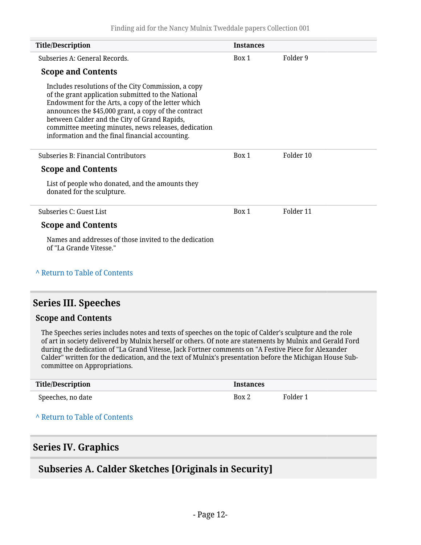| <b>Title/Description</b>                                                                                                                                                                                                                                                                                                                                                           | <b>Instances</b> |           |
|------------------------------------------------------------------------------------------------------------------------------------------------------------------------------------------------------------------------------------------------------------------------------------------------------------------------------------------------------------------------------------|------------------|-----------|
| Subseries A: General Records.                                                                                                                                                                                                                                                                                                                                                      | Box 1            | Folder 9  |
| <b>Scope and Contents</b>                                                                                                                                                                                                                                                                                                                                                          |                  |           |
| Includes resolutions of the City Commission, a copy<br>of the grant application submitted to the National<br>Endowment for the Arts, a copy of the letter which<br>announces the \$45,000 grant, a copy of the contract<br>between Calder and the City of Grand Rapids,<br>committee meeting minutes, news releases, dedication<br>information and the final financial accounting. |                  |           |
| Subseries B: Financial Contributors                                                                                                                                                                                                                                                                                                                                                | Box 1            | Folder 10 |
| <b>Scope and Contents</b>                                                                                                                                                                                                                                                                                                                                                          |                  |           |
| List of people who donated, and the amounts they<br>donated for the sculpture.                                                                                                                                                                                                                                                                                                     |                  |           |
| Subseries C: Guest List                                                                                                                                                                                                                                                                                                                                                            | Box 1            | Folder 11 |
| <b>Scope and Contents</b>                                                                                                                                                                                                                                                                                                                                                          |                  |           |
| Names and addresses of those invited to the dedication<br>of "La Grande Vitesse."                                                                                                                                                                                                                                                                                                  |                  |           |

# **^** [Return to Table of Contents](#page-1-0)

### <span id="page-11-0"></span>**Series III. Speeches**

#### **Scope and Contents**

The Speeches series includes notes and texts of speeches on the topic of Calder's sculpture and the role of art in society delivered by Mulnix herself or others. Of note are statements by Mulnix and Gerald Ford during the dedication of "La Grand Vitesse, Jack Fortner comments on "A Festive Piece for Alexander Calder" written for the dedication, and the text of Mulnix's presentation before the Michigan House Subcommittee on Appropriations.

| <b>Title/Description</b> | <b>Instances</b> |          |
|--------------------------|------------------|----------|
| Speeches, no date        | Box 2            | Folder 1 |

#### **^** [Return to Table of Contents](#page-1-0)

### <span id="page-11-1"></span>**Series IV. Graphics**

### <span id="page-11-2"></span>**Subseries A. Calder Sketches [Originals in Security]**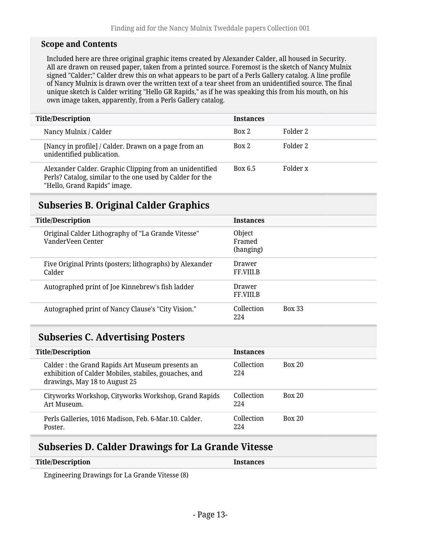#### **Scope and Contents**

Included here are three original graphic items created by Alexander Calder, all housed in Security. All are drawn on reused paper, taken from a printed source. Foremost is the sketch of Nancy Mulnix signed "Calder;" Calder drew this on what appears to be part of a Perls Gallery catalog. A line profile of Nancy Mulnix is drawn over the written text of a tear sheet from an unidentified source. The final unique sketch is Calder writing "Hello GR Rapids," as if he was speaking this from his mouth, on his own image taken, apparently, from a Perls Gallery catalog.

| <b>Title/Description</b>                                                                                                                             | <b>Instances</b> |          |
|------------------------------------------------------------------------------------------------------------------------------------------------------|------------------|----------|
| Nancy Mulnix / Calder                                                                                                                                | Box 2            | Folder 2 |
| [Nancy in profile] / Calder. Drawn on a page from an<br>unidentified publication.                                                                    | Box 2            | Folder 2 |
| Alexander Calder. Graphic Clipping from an unidentified<br>Perls? Catalog, similar to the one used by Calder for the<br>"Hello, Grand Rapids" image. | Box 6.5          | Folder x |

## <span id="page-12-0"></span>**Subseries B. Original Calder Graphics**

| <b>Title/Description</b>                                                | <b>Instances</b>                   |
|-------------------------------------------------------------------------|------------------------------------|
| Original Calder Lithography of "La Grande Vitesse"<br>VanderVeen Center | Object<br>Framed<br>(hanging)      |
| Five Original Prints (posters; lithographs) by Alexander<br>Calder      | Drawer<br>FF.VIII.B                |
| Autographed print of Joe Kinnebrew's fish ladder                        | Drawer<br>FF.VIII.B                |
| Autographed print of Nancy Clause's "City Vision."                      | Collection<br><b>Box 33</b><br>224 |

### <span id="page-12-1"></span>**Subseries C. Advertising Posters**

| <b>Title/Description</b>                                                                                                                  | <b>Instances</b>  |               |
|-------------------------------------------------------------------------------------------------------------------------------------------|-------------------|---------------|
| Calder: the Grand Rapids Art Museum presents an<br>exhibition of Calder Mobiles, stabiles, gouaches, and<br>drawings, May 18 to August 25 | Collection<br>224 | <b>Box 20</b> |
| Cityworks Workshop, Cityworks Workshop, Grand Rapids<br>Art Museum.                                                                       | Collection<br>224 | <b>Box 20</b> |
| Perls Galleries, 1016 Madison, Feb. 6-Mar.10. Calder.<br>Poster.                                                                          | Collection<br>224 | <b>Box 20</b> |

## <span id="page-12-2"></span>**Subseries D. Calder Drawings for La Grande Vitesse**

| <b>Title/Description</b> | <b>Instances</b> |  |
|--------------------------|------------------|--|
|                          |                  |  |

Engineering Drawings for La Grande Vitesse (8)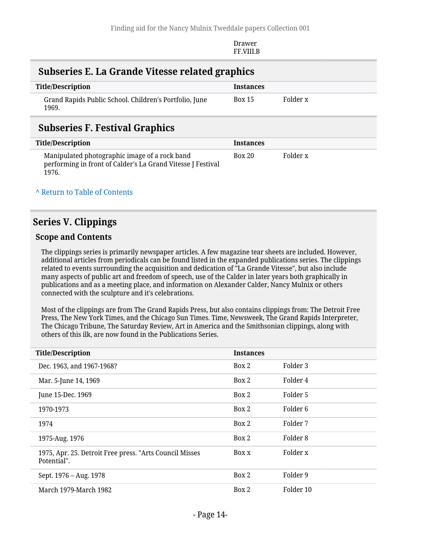Drawer FF.VIII.B

### <span id="page-13-0"></span>**Subseries E. La Grande Vitesse related graphics**

| Title/Description                                               | <b>Instances</b> |          |
|-----------------------------------------------------------------|------------------|----------|
| Grand Rapids Public School. Children's Portfolio, June<br>1969. | <b>Box 15</b>    | Folder x |

### <span id="page-13-1"></span>**Subseries F. Festival Graphics**

| Title/Description                                                                                                     | <b>Instances</b> |          |
|-----------------------------------------------------------------------------------------------------------------------|------------------|----------|
| Manipulated photographic image of a rock band<br>performing in front of Calder's La Grand Vitesse J Festival<br>1976. | <b>Box 20</b>    | Folder x |

#### **^** [Return to Table of Contents](#page-1-0)

### <span id="page-13-2"></span>**Series V. Clippings**

#### **Scope and Contents**

The clippings series is primarily newspaper articles. A few magazine tear sheets are included. However, additional articles from periodicals can be found listed in the expanded publications series. The clippings related to events surrounding the acquisition and dedication of "La Grande Vitesse", but also include many aspects of public art and freedom of speech, use of the Calder in later years both graphically in publications and as a meeting place, and information on Alexander Calder, Nancy Mulnix or others connected with the sculpture and it's celebrations.

Most of the clippings are from The Grand Rapids Press, but also contains clippings from: The Detroit Free Press, The New York Times, and the Chicago Sun Times. Time, Newsweek, The Grand Rapids Interpreter, The Chicago Tribune, The Saturday Review, Art in America and the Smithsonian clippings, along with others of this ilk, are now found in the Publications Series.

| <b>Title/Description</b>                                               | <b>Instances</b> |           |
|------------------------------------------------------------------------|------------------|-----------|
| Dec. 1963, and 1967-1968?                                              | Box 2            | Folder 3  |
| Mar. 5-June 14, 1969                                                   | Box 2            | Folder 4  |
| June 15-Dec. 1969                                                      | Box 2            | Folder 5  |
| 1970-1973                                                              | Box 2            | Folder 6  |
| 1974                                                                   | Box 2            | Folder 7  |
| 1975-Aug. 1976                                                         | Box 2            | Folder 8  |
| 1975, Apr. 25. Detroit Free press. "Arts Council Misses<br>Potential". | Box x            | Folder x  |
| Sept. 1976 – Aug. 1978                                                 | Box 2            | Folder 9  |
| March 1979-March 1982                                                  | Box 2            | Folder 10 |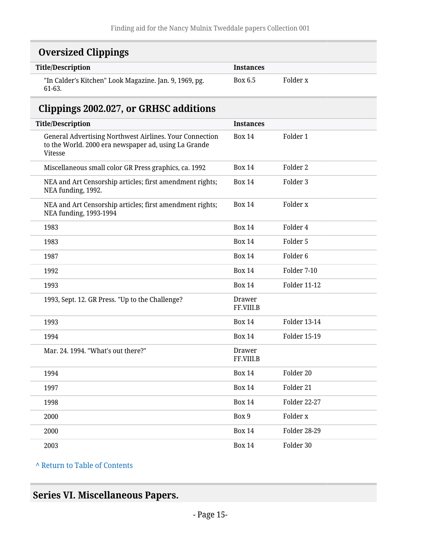## <span id="page-14-0"></span>**Oversized Clippings**

| <b>Title/Description</b>                                         | <b>Instances</b> |          |
|------------------------------------------------------------------|------------------|----------|
| "In Calder's Kitchen" Look Magazine. Jan. 9, 1969, pg.<br>61-63. | Box 6.5          | Folder x |

### <span id="page-14-1"></span>**Clippings 2002.027, or GRHSC additions**

| <b>Title/Description</b>                                                                                                   | <b>Instances</b>    |                     |
|----------------------------------------------------------------------------------------------------------------------------|---------------------|---------------------|
| General Advertising Northwest Airlines. Your Connection<br>to the World. 2000 era newspaper ad, using La Grande<br>Vitesse | <b>Box 14</b>       | Folder 1            |
| Miscellaneous small color GR Press graphics, ca. 1992                                                                      | <b>Box 14</b>       | Folder 2            |
| NEA and Art Censorship articles; first amendment rights;<br>NEA funding, 1992.                                             | <b>Box 14</b>       | Folder 3            |
| NEA and Art Censorship articles; first amendment rights;<br>NEA funding, 1993-1994                                         | <b>Box 14</b>       | Folder x            |
| 1983                                                                                                                       | <b>Box 14</b>       | Folder 4            |
| 1983                                                                                                                       | <b>Box 14</b>       | Folder 5            |
| 1987                                                                                                                       | <b>Box 14</b>       | Folder <sub>6</sub> |
| 1992                                                                                                                       | <b>Box 14</b>       | Folder 7-10         |
| 1993                                                                                                                       | <b>Box 14</b>       | <b>Folder 11-12</b> |
| 1993, Sept. 12. GR Press. "Up to the Challenge?                                                                            | Drawer<br>FF.VIII.B |                     |
| 1993                                                                                                                       | <b>Box 14</b>       | <b>Folder 13-14</b> |
| 1994                                                                                                                       | <b>Box 14</b>       | Folder 15-19        |
| Mar. 24. 1994. "What's out there?"                                                                                         | Drawer<br>FF.VIII.B |                     |
| 1994                                                                                                                       | <b>Box 14</b>       | Folder 20           |
| 1997                                                                                                                       | <b>Box 14</b>       | Folder 21           |
| 1998                                                                                                                       | <b>Box 14</b>       | Folder 22-27        |
| 2000                                                                                                                       | Box 9               | Folder <sub>x</sub> |
| 2000                                                                                                                       | <b>Box 14</b>       | <b>Folder 28-29</b> |
| 2003                                                                                                                       | <b>Box 14</b>       | Folder 30           |

**^** [Return to Table of Contents](#page-1-0)

## <span id="page-14-2"></span>**Series VI. Miscellaneous Papers.**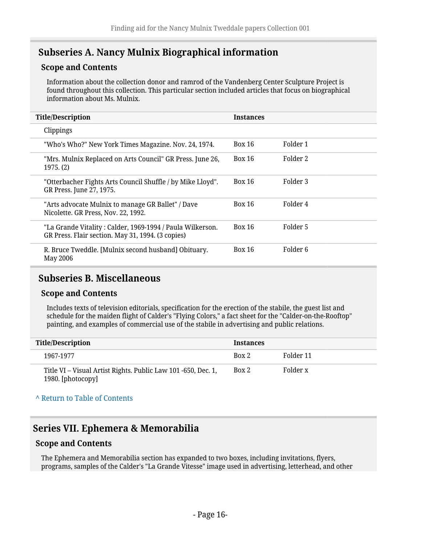### <span id="page-15-0"></span>**Subseries A. Nancy Mulnix Biographical information**

#### **Scope and Contents**

Information about the collection donor and ramrod of the Vandenberg Center Sculpture Project is found throughout this collection. This particular section included articles that focus on biographical information about Ms. Mulnix.

| <b>Title/Description</b>                                                                                        | <b>Instances</b> |          |
|-----------------------------------------------------------------------------------------------------------------|------------------|----------|
| Clippings                                                                                                       |                  |          |
| "Who's Who?" New York Times Magazine. Nov. 24, 1974.                                                            | Box 16           | Folder 1 |
| "Mrs. Mulnix Replaced on Arts Council" GR Press. June 26,<br>1975. (2)                                          | Box 16           | Folder 2 |
| "Otterbacher Fights Arts Council Shuffle / by Mike Lloyd".<br>GR Press. June 27, 1975.                          | Box 16           | Folder 3 |
| "Arts advocate Mulnix to manage GR Ballet" / Dave<br>Nicolette. GR Press, Nov. 22, 1992.                        | Box 16           | Folder 4 |
| "La Grande Vitality : Calder, 1969-1994 / Paula Wilkerson.<br>GR Press. Flair section. May 31, 1994. (3 copies) | Box 16           | Folder 5 |
| R. Bruce Tweddle. [Mulnix second husband] Obituary.<br>May 2006                                                 | Box 16           | Folder 6 |

### <span id="page-15-1"></span>**Subseries B. Miscellaneous**

#### **Scope and Contents**

Includes texts of television editorials, specification for the erection of the stabile, the guest list and schedule for the maiden flight of Calder's "Flying Colors," a fact sheet for the "Calder-on-the-Rooftop" painting, and examples of commercial use of the stabile in advertising and public relations.

| Title/Description                                                                  | <b>Instances</b> |           |
|------------------------------------------------------------------------------------|------------------|-----------|
| 1967-1977                                                                          | Box 2            | Folder 11 |
| Title VI – Visual Artist Rights. Public Law 101 -650, Dec. 1,<br>1980. [photocopy] | Box 2            | Folder x  |

#### **^** [Return to Table of Contents](#page-1-0)

### <span id="page-15-2"></span>**Series VII. Ephemera & Memorabilia**

#### **Scope and Contents**

The Ephemera and Memorabilia section has expanded to two boxes, including invitations, flyers, programs, samples of the Calder's "La Grande Vitesse" image used in advertising, letterhead, and other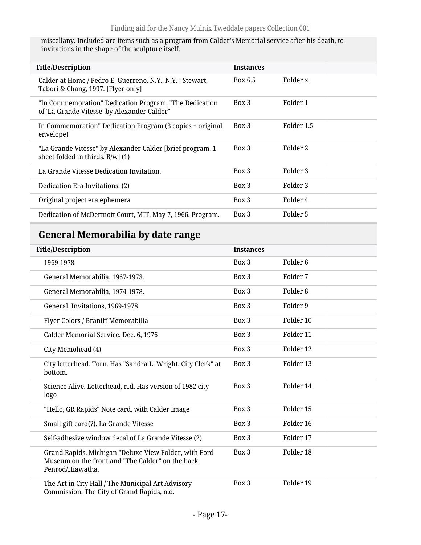miscellany. Included are items such as a program from Calder's Memorial service after his death, to invitations in the shape of the sculpture itself.

| <b>Title/Description</b>                                                                              | <b>Instances</b> |            |
|-------------------------------------------------------------------------------------------------------|------------------|------------|
| Calder at Home / Pedro E. Guerreno. N.Y., N.Y. : Stewart,<br>Tabori & Chang, 1997. [Flyer only]       | Box 6.5          | Folder x   |
| "In Commemoration" Dedication Program. "The Dedication<br>of 'La Grande Vitesse' by Alexander Calder" | Box 3            | Folder 1   |
| In Commemoration" Dedication Program (3 copies + original<br>envelope)                                | $Box\ 3$         | Folder 1.5 |
| "La Grande Vitesse" by Alexander Calder [brief program. 1<br>sheet folded in thirds. B/w] (1)         | Box 3            | Folder 2   |
| La Grande Vitesse Dedication Invitation.                                                              | Box 3            | Folder 3   |
| Dedication Era Invitations. (2)                                                                       | Box 3            | Folder 3   |
| Original project era ephemera                                                                         | $Box\ 3$         | Folder 4   |
| Dedication of McDermott Court, MIT, May 7, 1966. Program.                                             | Box 3            | Folder 5   |
|                                                                                                       |                  |            |

## <span id="page-16-0"></span>**General Memorabilia by date range**

| <b>Title/Description</b>                                                                                                       | <b>Instances</b> |                     |
|--------------------------------------------------------------------------------------------------------------------------------|------------------|---------------------|
| 1969-1978.                                                                                                                     | Box 3            | Folder <sub>6</sub> |
| General Memorabilia, 1967-1973.                                                                                                | Box 3            | Folder 7            |
| General Memorabilia, 1974-1978.                                                                                                | Box 3            | Folder <sub>8</sub> |
| General. Invitations, 1969-1978                                                                                                | Box 3            | Folder 9            |
| Flyer Colors / Braniff Memorabilia                                                                                             | Box 3            | Folder 10           |
| Calder Memorial Service, Dec. 6, 1976                                                                                          | Box 3            | Folder 11           |
| City Memohead (4)                                                                                                              | Box 3            | Folder 12           |
| City letterhead. Torn. Has "Sandra L. Wright, City Clerk" at<br>bottom.                                                        | Box 3            | Folder 13           |
| Science Alive. Letterhead, n.d. Has version of 1982 city<br>logo                                                               | Box 3            | Folder 14           |
| "Hello, GR Rapids" Note card, with Calder image                                                                                | Box 3            | Folder 15           |
| Small gift card(?). La Grande Vitesse                                                                                          | Box 3            | Folder 16           |
| Self-adhesive window decal of La Grande Vitesse (2)                                                                            | Box 3            | Folder 17           |
| Grand Rapids, Michigan "Deluxe View Folder, with Ford<br>Museum on the front and "The Calder" on the back.<br>Penrod/Hiawatha. | Box 3            | Folder 18           |
| The Art in City Hall / The Municipal Art Advisory<br>Commission, The City of Grand Rapids, n.d.                                | Box 3            | Folder 19           |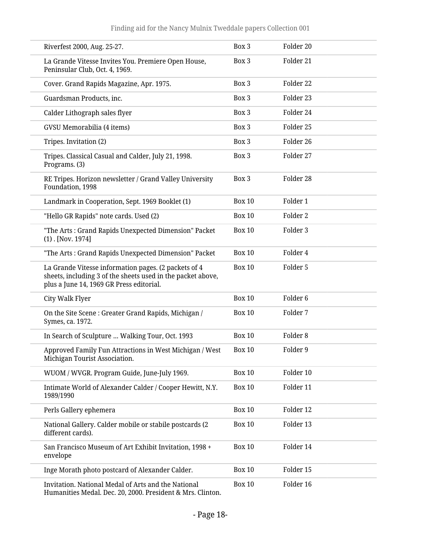| Riverfest 2000, Aug. 25-27.                                                                                                                                     | Box 3         | Folder 20           |
|-----------------------------------------------------------------------------------------------------------------------------------------------------------------|---------------|---------------------|
| La Grande Vitesse Invites You. Premiere Open House,<br>Peninsular Club, Oct. 4, 1969.                                                                           | Box 3         | Folder 21           |
| Cover. Grand Rapids Magazine, Apr. 1975.                                                                                                                        | Box 3         | Folder 22           |
| Guardsman Products, inc.                                                                                                                                        | Box 3         | Folder 23           |
| Calder Lithograph sales flyer                                                                                                                                   | Box 3         | Folder 24           |
| GVSU Memorabilia (4 items)                                                                                                                                      | Box 3         | Folder 25           |
| Tripes. Invitation (2)                                                                                                                                          | Box 3         | Folder 26           |
| Tripes. Classical Casual and Calder, July 21, 1998.<br>Programs. (3)                                                                                            | Box 3         | Folder 27           |
| RE Tripes. Horizon newsletter / Grand Valley University<br>Foundation, 1998                                                                                     | Box 3         | Folder 28           |
| Landmark in Cooperation, Sept. 1969 Booklet (1)                                                                                                                 | <b>Box 10</b> | Folder 1            |
| "Hello GR Rapids" note cards. Used (2)                                                                                                                          | <b>Box 10</b> | Folder 2            |
| "The Arts: Grand Rapids Unexpected Dimension" Packet<br>$(1)$ . [Nov. 1974]                                                                                     | <b>Box 10</b> | Folder 3            |
| "The Arts: Grand Rapids Unexpected Dimension" Packet                                                                                                            | <b>Box 10</b> | Folder 4            |
| La Grande Vitesse information pages. (2 packets of 4<br>sheets, including 3 of the sheets used in the packet above,<br>plus a June 14, 1969 GR Press editorial. | <b>Box 10</b> | Folder 5            |
| City Walk Flyer                                                                                                                                                 | <b>Box 10</b> | Folder <sub>6</sub> |
| On the Site Scene: Greater Grand Rapids, Michigan /<br>Symes, ca. 1972.                                                                                         | <b>Box 10</b> | Folder 7            |
| In Search of Sculpture  Walking Tour, Oct. 1993                                                                                                                 | <b>Box 10</b> | Folder <sub>8</sub> |
| Approved Family Fun Attractions in West Michigan / West<br>Michigan Tourist Association.                                                                        | <b>Box 10</b> | Folder 9            |
| WUOM / WVGR. Program Guide, June-July 1969.                                                                                                                     | <b>Box 10</b> | Folder 10           |
| Intimate World of Alexander Calder / Cooper Hewitt, N.Y.<br>1989/1990                                                                                           | <b>Box 10</b> | Folder 11           |
| Perls Gallery ephemera                                                                                                                                          | <b>Box 10</b> | Folder 12           |
| National Gallery. Calder mobile or stabile postcards (2<br>different cards).                                                                                    | <b>Box 10</b> | Folder 13           |
| San Francisco Museum of Art Exhibit Invitation, 1998 +<br>envelope                                                                                              | <b>Box 10</b> | Folder 14           |
| Inge Morath photo postcard of Alexander Calder.                                                                                                                 | <b>Box 10</b> | Folder 15           |
| Invitation. National Medal of Arts and the National<br>Humanities Medal. Dec. 20, 2000. President & Mrs. Clinton.                                               | <b>Box 10</b> | Folder 16           |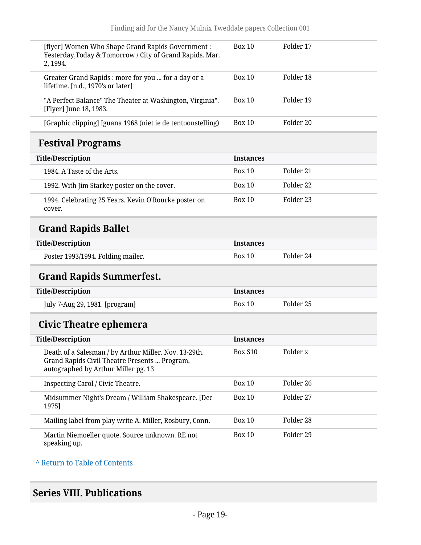<span id="page-18-1"></span><span id="page-18-0"></span>

| [flyer] Women Who Shape Grand Rapids Government :<br>Yesterday, Today & Tomorrow / City of Grand Rapids. Mar.<br>2, 1994.                     | <b>Box 10</b>    | Folder 17 |
|-----------------------------------------------------------------------------------------------------------------------------------------------|------------------|-----------|
| Greater Grand Rapids : more for you  for a day or a<br>lifetime. [n.d., 1970's or later]                                                      | <b>Box 10</b>    | Folder 18 |
| "A Perfect Balance" The Theater at Washington, Virginia".<br>[Flyer] June 18, 1983.                                                           | Box 10           | Folder 19 |
| [Graphic clipping] Iguana 1968 (niet ie de tentoonstelling)                                                                                   | <b>Box 10</b>    | Folder 20 |
| <b>Festival Programs</b>                                                                                                                      |                  |           |
| <b>Title/Description</b>                                                                                                                      | <b>Instances</b> |           |
| 1984. A Taste of the Arts.                                                                                                                    | <b>Box 10</b>    | Folder 21 |
| 1992. With Jim Starkey poster on the cover.                                                                                                   | <b>Box 10</b>    | Folder 22 |
| 1994. Celebrating 25 Years. Kevin O'Rourke poster on<br>cover.                                                                                | <b>Box 10</b>    | Folder 23 |
| <b>Grand Rapids Ballet</b>                                                                                                                    |                  |           |
| <b>Title/Description</b>                                                                                                                      | <b>Instances</b> |           |
| Poster 1993/1994. Folding mailer.                                                                                                             | Box 10           | Folder 24 |
| <b>Grand Rapids Summerfest.</b>                                                                                                               |                  |           |
| <b>Title/Description</b>                                                                                                                      | <b>Instances</b> |           |
| July 7-Aug 29, 1981. [program]                                                                                                                | <b>Box 10</b>    | Folder 25 |
| Civic Theatre ephemera                                                                                                                        |                  |           |
| <b>Title/Description</b>                                                                                                                      | <b>Instances</b> |           |
| Death of a Salesman / by Arthur Miller. Nov. 13-29th.<br>Grand Rapids Civil Theatre Presents  Program,<br>autographed by Arthur Miller pg. 13 | <b>Box S10</b>   | Folder x  |
| Inspecting Carol / Civic Theatre.                                                                                                             | <b>Box 10</b>    | Folder 26 |
| Midsummer Night's Dream / William Shakespeare. [Dec<br>1975]                                                                                  | <b>Box 10</b>    | Folder 27 |
| Mailing label from play write A. Miller, Rosbury, Conn.                                                                                       | <b>Box 10</b>    | Folder 28 |
| Martin Niemoeller quote. Source unknown. RE not<br>speaking up.                                                                               | <b>Box 10</b>    | Folder 29 |

<span id="page-18-3"></span><span id="page-18-2"></span>**^** [Return to Table of Contents](#page-1-0)

## <span id="page-18-4"></span>**Series VIII. Publications**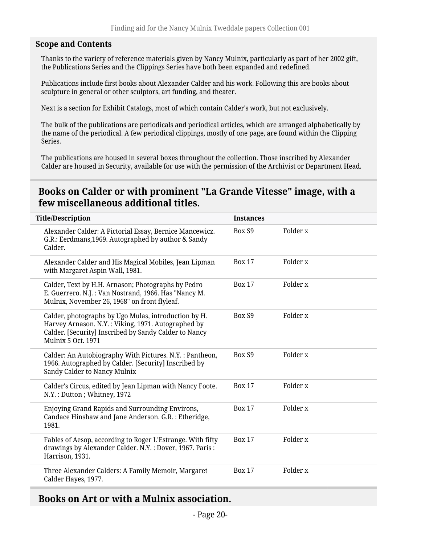#### **Scope and Contents**

Thanks to the variety of reference materials given by Nancy Mulnix, particularly as part of her 2002 gift, the Publications Series and the Clippings Series have both been expanded and redefined.

Publications include first books about Alexander Calder and his work. Following this are books about sculpture in general or other sculptors, art funding, and theater.

Next is a section for Exhibit Catalogs, most of which contain Calder's work, but not exclusively.

The bulk of the publications are periodicals and periodical articles, which are arranged alphabetically by the name of the periodical. A few periodical clippings, mostly of one page, are found within the Clipping Series.

The publications are housed in several boxes throughout the collection. Those inscribed by Alexander Calder are housed in Security, available for use with the permission of the Archivist or Department Head.

### <span id="page-19-0"></span>**Books on Calder or with prominent "La Grande Vitesse" image, with a few miscellaneous additional titles.**

| <b>Title/Description</b>                                                                                                                                                                         | <b>Instances</b> |                     |
|--------------------------------------------------------------------------------------------------------------------------------------------------------------------------------------------------|------------------|---------------------|
| Alexander Calder: A Pictorial Essay, Bernice Mancewicz.<br>G.R.: Eerdmans, 1969. Autographed by author & Sandy<br>Calder.                                                                        | Box S9           | Folder x            |
| Alexander Calder and His Magical Mobiles, Jean Lipman<br>with Margaret Aspin Wall, 1981.                                                                                                         | <b>Box 17</b>    | Folder x            |
| Calder, Text by H.H. Arnason; Photographs by Pedro<br>E. Guerrero. N.J.: Van Nostrand, 1966. Has "Nancy M.<br>Mulnix, November 26, 1968" on front flyleaf.                                       | <b>Box 17</b>    | Folder x            |
| Calder, photographs by Ugo Mulas, introduction by H.<br>Harvey Arnason. N.Y.: Viking, 1971. Autographed by<br>Calder. [Security] Inscribed by Sandy Calder to Nancy<br><b>Mulnix 5 Oct. 1971</b> | Box S9           | Folder <sub>x</sub> |
| Calder: An Autobiography With Pictures. N.Y. : Pantheon,<br>1966. Autographed by Calder. [Security] Inscribed by<br>Sandy Calder to Nancy Mulnix                                                 | Box S9           | Folder <sub>x</sub> |
| Calder's Circus, edited by Jean Lipman with Nancy Foote.<br>N.Y.: Dutton; Whitney, 1972                                                                                                          | <b>Box 17</b>    | Folder x            |
| Enjoying Grand Rapids and Surrounding Environs,<br>Candace Hinshaw and Jane Anderson. G.R. : Etheridge,<br>1981.                                                                                 | <b>Box 17</b>    | Folder x            |
| Fables of Aesop, according to Roger L'Estrange. With fifty<br>drawings by Alexander Calder. N.Y.: Dover, 1967. Paris:<br>Harrison, 1931.                                                         | <b>Box 17</b>    | Folder <sub>x</sub> |
| Three Alexander Calders: A Family Memoir, Margaret<br>Calder Hayes, 1977.                                                                                                                        | <b>Box 17</b>    | Folder <sub>x</sub> |

### <span id="page-19-1"></span>**Books on Art or with a Mulnix association.**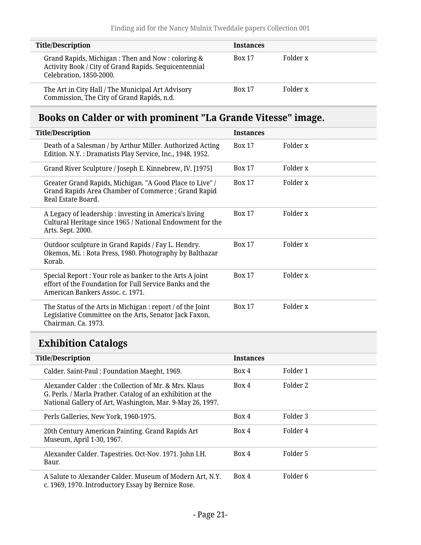| <b>Title/Description</b>                                                                                                             | <b>Instances</b> |          |
|--------------------------------------------------------------------------------------------------------------------------------------|------------------|----------|
| Grand Rapids, Michigan: Then and Now: coloring &<br>Activity Book / City of Grand Rapids. Sequicentennial<br>Celebration, 1850-2000. | <b>Box 17</b>    | Folder x |
| The Art in City Hall / The Municipal Art Advisory<br>Commission, The City of Grand Rapids, n.d.                                      | <b>Box 17</b>    | Folder x |

## <span id="page-20-0"></span>**Books on Calder or with prominent "La Grande Vitesse" image.**

| <b>Title/Description</b>                                                                                                                                | <b>Instances</b>          |
|---------------------------------------------------------------------------------------------------------------------------------------------------------|---------------------------|
| Death of a Salesman / by Arthur Miller. Authorized Acting<br>Edition. N.Y.: Dramatists Play Service, Inc., 1948, 1952.                                  | Folder x<br><b>Box 17</b> |
| Grand River Sculpture / Joseph E. Kinnebrew, IV. [1975]                                                                                                 | Folder x<br><b>Box 17</b> |
| Greater Grand Rapids, Michigan. "A Good Place to Live" /<br>Grand Rapids Area Chamber of Commerce; Grand Rapid<br>Real Estate Board.                    | Folder x<br><b>Box 17</b> |
| A Legacy of leadership: investing in America's living<br>Cultural Heritage since 1965 / National Endowment for the<br>Arts. Sept. 2000.                 | Folder x<br><b>Box 17</b> |
| Outdoor sculpture in Grand Rapids / Fay L. Hendry.<br>Okemos, Mi.: Rota Press, 1980. Photography by Balthazar<br>Korab.                                 | Folder x<br><b>Box 17</b> |
| Special Report : Your role as banker to the Arts A joint<br>effort of the Foundation for Full Service Banks and the<br>American Bankers Assoc. c. 1971. | Folder x<br><b>Box 17</b> |
| The Status of the Arts in Michigan : report / of the Joint<br>Legislative Committee on the Arts, Senator Jack Faxon,<br>Chairman. Ca. 1973.             | Folder x<br><b>Box 17</b> |

# <span id="page-20-1"></span>**Exhibition Catalogs**

| <b>Title/Description</b>                                                                                                                                                        | <b>Instances</b> |          |
|---------------------------------------------------------------------------------------------------------------------------------------------------------------------------------|------------------|----------|
| Calder. Saint-Paul: Foundation Maeght, 1969.                                                                                                                                    | Box 4            | Folder 1 |
| Alexander Calder: the Collection of Mr. & Mrs. Klaus<br>G. Perls. / Marla Prather. Catalog of an exhibition at the<br>National Gallery of Art, Washington, Mar. 9-May 26, 1997. | Box 4            | Folder 2 |
| Perls Galleries, New York, 1960-1975.                                                                                                                                           | Box 4            | Folder 3 |
| 20th Century American Painting. Grand Rapids Art<br>Museum, April 1-30, 1967.                                                                                                   | Box 4            | Folder 4 |
| Alexander Calder. Tapestries. Oct-Nov. 1971. John I.H.<br>Baur.                                                                                                                 | Box 4            | Folder 5 |
| A Salute to Alexander Calder. Museum of Modern Art, N.Y.<br>c. 1969, 1970. Introductory Essay by Bernice Rose.                                                                  | Box 4            | Folder 6 |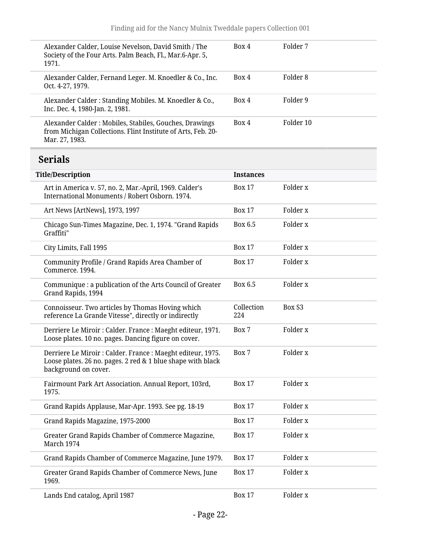<span id="page-21-0"></span>

| Alexander Calder, Louise Nevelson, David Smith / The<br>Society of the Four Arts. Palm Beach, Fl., Mar.6-Apr. 5,<br>1971.                          | Box 4             | Folder 7           |
|----------------------------------------------------------------------------------------------------------------------------------------------------|-------------------|--------------------|
| Alexander Calder, Fernand Leger. M. Knoedler & Co., Inc.<br>Oct. 4-27, 1979.                                                                       | Box 4             | Folder 8           |
| Alexander Calder: Standing Mobiles. M. Knoedler & Co.,<br>Inc. Dec. 4, 1980-Jan. 2, 1981.                                                          | Box 4             | Folder 9           |
| Alexander Calder: Mobiles, Stabiles, Gouches, Drawings<br>from Michigan Collections. Flint Institute of Arts, Feb. 20-<br>Mar. 27, 1983.           | Box 4             | Folder 10          |
| <b>Serials</b>                                                                                                                                     |                   |                    |
| <b>Title/Description</b>                                                                                                                           | <b>Instances</b>  |                    |
| Art in America v. 57, no. 2, Mar.-April, 1969. Calder's<br>International Monuments / Robert Osborn. 1974.                                          | <b>Box 17</b>     | Folder x           |
| Art News [ArtNews], 1973, 1997                                                                                                                     | <b>Box 17</b>     | Folder x           |
| Chicago Sun-Times Magazine, Dec. 1, 1974. "Grand Rapids<br>Graffiti"                                                                               | Box 6.5           | Folder x           |
| City Limits, Fall 1995                                                                                                                             | <b>Box 17</b>     | Folder x           |
| Community Profile / Grand Rapids Area Chamber of<br>Commerce, 1994.                                                                                | <b>Box 17</b>     | Folder x           |
| Communique : a publication of the Arts Council of Greater<br>Grand Rapids, 1994                                                                    | Box 6.5           | Folder x           |
| Connoisseur. Two articles by Thomas Hoving which<br>reference La Grande Vitesse", directly or indirectly                                           | Collection<br>224 | Box S <sub>3</sub> |
| Derriere Le Miroir : Calder. France : Maeght editeur, 1971.<br>Loose plates. 10 no. pages. Dancing figure on cover.                                | Box 7             | Folder x           |
| Derriere Le Miroir : Calder. France : Maeght editeur, 1975.<br>Loose plates. 26 no. pages. 2 red & 1 blue shape with black<br>background on cover. | Box 7             | Folder x           |
| Fairmount Park Art Association. Annual Report, 103rd,<br>1975.                                                                                     | <b>Box 17</b>     | Folder x           |
| Grand Rapids Applause, Mar-Apr. 1993. See pg. 18-19                                                                                                | <b>Box 17</b>     | Folder x           |
| Grand Rapids Magazine, 1975-2000                                                                                                                   | <b>Box 17</b>     | Folder x           |
| Greater Grand Rapids Chamber of Commerce Magazine,<br>March 1974                                                                                   | <b>Box 17</b>     | Folder x           |
| Grand Rapids Chamber of Commerce Magazine, June 1979.                                                                                              | <b>Box 17</b>     | Folder x           |
| Greater Grand Rapids Chamber of Commerce News, June<br>1969.                                                                                       | <b>Box 17</b>     | Folder x           |
| Lands End catalog, April 1987                                                                                                                      | <b>Box 17</b>     | Folder x           |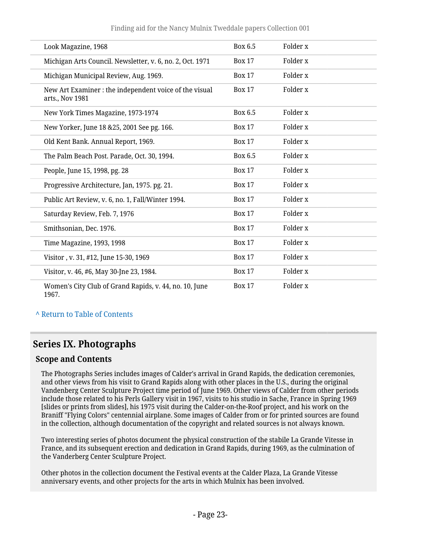#### Finding aid for the Nancy Mulnix Tweddale papers Collection 001

| Look Magazine, 1968                                                       | Box 6.5       | Folder x            |
|---------------------------------------------------------------------------|---------------|---------------------|
| Michigan Arts Council. Newsletter, v. 6, no. 2, Oct. 1971                 | <b>Box 17</b> | Folder x            |
| Michigan Municipal Review, Aug. 1969.                                     | <b>Box 17</b> | Folder x            |
| New Art Examiner : the independent voice of the visual<br>arts., Nov 1981 | <b>Box 17</b> | Folder x            |
| New York Times Magazine, 1973-1974                                        | Box 6.5       | Folder x            |
| New Yorker, June 18 & 25, 2001 See pg. 166.                               | <b>Box 17</b> | Folder x            |
| Old Kent Bank. Annual Report, 1969.                                       | <b>Box 17</b> | Folder <sub>x</sub> |
| The Palm Beach Post. Parade, Oct. 30, 1994.                               | Box 6.5       | Folder x            |
| People, June 15, 1998, pg. 28                                             | <b>Box 17</b> | Folder x            |
| Progressive Architecture, Jan, 1975. pg. 21.                              | <b>Box 17</b> | Folder x            |
| Public Art Review, v. 6, no. 1, Fall/Winter 1994.                         | <b>Box 17</b> | Folder x            |
| Saturday Review, Feb. 7, 1976                                             | <b>Box 17</b> | Folder x            |
| Smithsonian, Dec. 1976.                                                   | <b>Box 17</b> | Folder x            |
| Time Magazine, 1993, 1998                                                 | <b>Box 17</b> | Folder x            |
| Visitor, v. 31, #12, June 15-30, 1969                                     | <b>Box 17</b> | Folder x            |
| Visitor, v. 46, #6, May 30-Jne 23, 1984.                                  | <b>Box 17</b> | Folder x            |
| Women's City Club of Grand Rapids, v. 44, no. 10, June<br>1967.           | <b>Box 17</b> | Folder x            |

#### **^** [Return to Table of Contents](#page-1-0)

### <span id="page-22-0"></span>**Series IX. Photographs**

#### **Scope and Contents**

The Photographs Series includes images of Calder's arrival in Grand Rapids, the dedication ceremonies, and other views from his visit to Grand Rapids along with other places in the U.S., during the original Vandenberg Center Sculpture Project time period of June 1969. Other views of Calder from other periods include those related to his Perls Gallery visit in 1967, visits to his studio in Sache, France in Spring 1969 [slides or prints from slides], his 1975 visit during the Calder-on-the-Roof project, and his work on the Braniff "Flying Colors" centennial airplane. Some images of Calder from or for printed sources are found in the collection, although documentation of the copyright and related sources is not always known.

Two interesting series of photos document the physical construction of the stabile La Grande Vitesse in France, and its subsequent erection and dedication in Grand Rapids, during 1969, as the culmination of the Vanderberg Center Sculpture Project.

Other photos in the collection document the Festival events at the Calder Plaza, La Grande Vitesse anniversary events, and other projects for the arts in which Mulnix has been involved.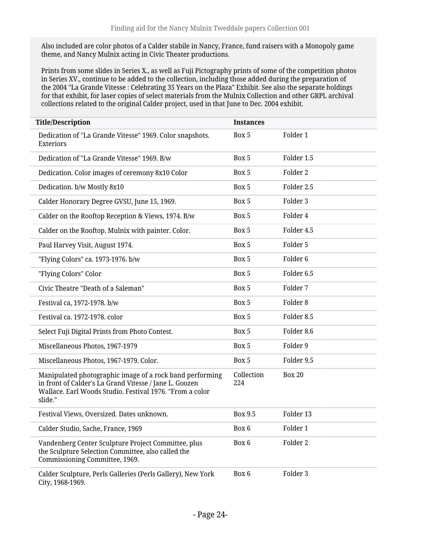Also included are color photos of a Calder stabile in Nancy, France, fund raisers with a Monopoly game theme, and Nancy Mulnix acting in Civic Theater productions.

Prints from some slides in Series X., as well as Fuji Pictography prints of some of the competition photos in Series XV., continue to be added to the collection, including those added during the preparation of the 2004 "La Grande Vitesse : Celebrating 35 Years on the Plaza" Exhibit. See also the separate holdings for that exhibit, for laser copies of select materials from the Mulnix Collection and other GRPL archival collections related to the original Calder project, used in that June to Dec. 2004 exhibit.

| <b>Title/Description</b>                                                                                                                                                                  | <b>Instances</b>  |                       |
|-------------------------------------------------------------------------------------------------------------------------------------------------------------------------------------------|-------------------|-----------------------|
| Dedication of "La Grande Vitesse" 1969. Color snapshots.<br>Exteriors                                                                                                                     | Box 5             | Folder 1              |
| Dedication of "La Grande Vitesse" 1969. B/w                                                                                                                                               | Box 5             | Folder 1.5            |
| Dedication. Color images of ceremony 8x10 Color                                                                                                                                           | Box 5             | Folder 2              |
| Dedication. b/w Mostly 8x10                                                                                                                                                               | Box 5             | Folder 2.5            |
| Calder Honorary Degree GVSU, June 15, 1969.                                                                                                                                               | Box 5             | Folder 3              |
| Calder on the Rooftop Reception & Views, 1974. B/w                                                                                                                                        | Box 5             | Folder 4              |
| Calder on the Rooftop. Mulnix with painter. Color.                                                                                                                                        | Box 5             | Folder 4.5            |
| Paul Harvey Visit, August 1974.                                                                                                                                                           | Box 5             | Folder 5              |
| "Flying Colors" ca. 1973-1976. b/w                                                                                                                                                        | Box 5             | Folder <sub>6</sub>   |
| "Flying Colors" Color                                                                                                                                                                     | Box 5             | Folder <sub>6.5</sub> |
| Civic Theatre "Death of a Saleman"                                                                                                                                                        | Box 5             | Folder 7              |
| Festival ca, 1972-1978. b/w                                                                                                                                                               | Box 5             | Folder 8              |
| Festival ca. 1972-1978. color                                                                                                                                                             | Box 5             | Folder 8.5            |
| Select Fuji Digital Prints from Photo Contest.                                                                                                                                            | Box 5             | Folder 8.6            |
| Miscellaneous Photos, 1967-1979                                                                                                                                                           | Box 5             | Folder 9              |
| Miscellaneous Photos, 1967-1979. Color.                                                                                                                                                   | Box 5             | Folder 9.5            |
| Manipulated photographic image of a rock band performing<br>in front of Calder's La Grand Vitesse / Jane L. Goozen<br>Wallace. Earl Woods Studio. Festival 1976. "From a color<br>slide." | Collection<br>224 | <b>Box 20</b>         |
| Festival Views, Oversized. Dates unknown.                                                                                                                                                 | <b>Box 9.5</b>    | Folder 13             |
| Calder Studio, Sache, France, 1969                                                                                                                                                        | Box 6             | Folder 1              |
| Vandenberg Center Sculpture Project Committee, plus<br>the Sculpture Selection Committee, also called the<br>Commissioning Committee, 1969.                                               | Box 6             | Folder 2              |
| Calder Sculpture, Perls Galleries (Perls Gallery), New York<br>City, 1968-1969.                                                                                                           | Box 6             | Folder 3              |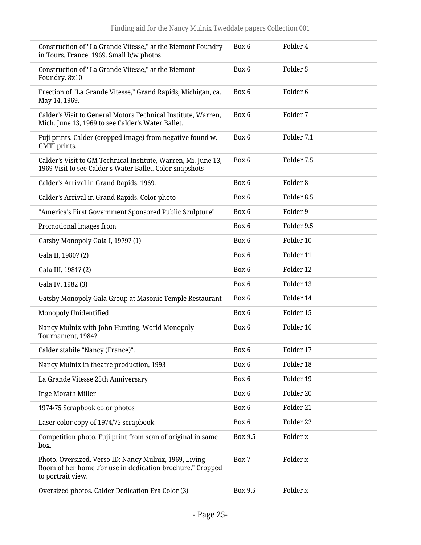| Construction of "La Grande Vitesse," at the Biemont Foundry<br>in Tours, France, 1969. Small b/w photos                                   | Box 6   | Folder 4            |
|-------------------------------------------------------------------------------------------------------------------------------------------|---------|---------------------|
| Construction of "La Grande Vitesse," at the Biemont<br>Foundry. 8x10                                                                      | Box 6   | Folder 5            |
| Erection of "La Grande Vitesse," Grand Rapids, Michigan, ca.<br>May 14, 1969.                                                             | Box 6   | Folder <sub>6</sub> |
| Calder's Visit to General Motors Technical Institute, Warren,<br>Mich. June 13, 1969 to see Calder's Water Ballet.                        | Box 6   | Folder 7            |
| Fuji prints. Calder (cropped image) from negative found w.<br>GMTI prints.                                                                | Box 6   | Folder 7.1          |
| Calder's Visit to GM Technical Institute, Warren, Mi. June 13,<br>1969 Visit to see Calder's Water Ballet. Color snapshots                | Box 6   | Folder 7.5          |
| Calder's Arrival in Grand Rapids, 1969.                                                                                                   | Box 6   | Folder <sub>8</sub> |
| Calder's Arrival in Grand Rapids. Color photo                                                                                             | Box 6   | Folder 8.5          |
| "America's First Government Sponsored Public Sculpture"                                                                                   | Box 6   | Folder 9            |
| Promotional images from                                                                                                                   | Box 6   | Folder 9.5          |
| Gatsby Monopoly Gala I, 1979? (1)                                                                                                         | Box 6   | Folder 10           |
| Gala II, 1980? (2)                                                                                                                        | Box 6   | Folder 11           |
| Gala III, 1981? (2)                                                                                                                       | Box 6   | Folder 12           |
| Gala IV, 1982 (3)                                                                                                                         | Box 6   | Folder 13           |
| Gatsby Monopoly Gala Group at Masonic Temple Restaurant                                                                                   | Box 6   | Folder 14           |
| Monopoly Unidentified                                                                                                                     | Box 6   | Folder 15           |
| Nancy Mulnix with John Hunting, World Monopoly<br>Tournament, 1984?                                                                       | Box 6   | Folder 16           |
| Calder stabile "Nancy (France)".                                                                                                          | Box 6   | Folder 17           |
| Nancy Mulnix in theatre production, 1993                                                                                                  | Box 6   | Folder 18           |
| La Grande Vitesse 25th Anniversary                                                                                                        | Box 6   | Folder 19           |
| Inge Morath Miller                                                                                                                        | Box 6   | Folder 20           |
| 1974/75 Scrapbook color photos                                                                                                            | Box 6   | Folder 21           |
| Laser color copy of 1974/75 scrapbook.                                                                                                    | Box 6   | Folder 22           |
| Competition photo. Fuji print from scan of original in same<br>box.                                                                       | Box 9.5 | Folder x            |
| Photo. Oversized. Verso ID: Nancy Mulnix, 1969, Living<br>Room of her home .for use in dedication brochure." Cropped<br>to portrait view. | Box 7   | Folder x            |
| Oversized photos. Calder Dedication Era Color (3)                                                                                         | Box 9.5 | Folder x            |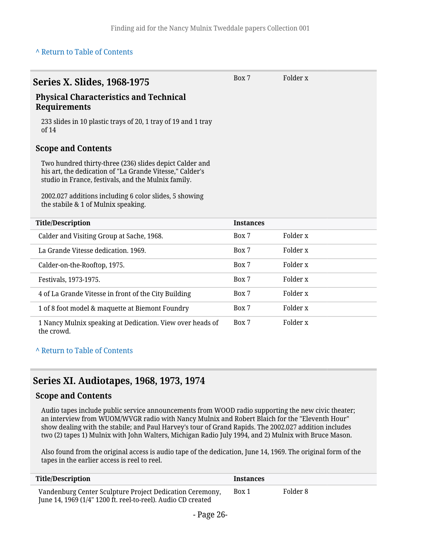#### **^** [Return to Table of Contents](#page-1-0)

<span id="page-25-0"></span>

| <b>Series X. Slides, 1968-1975</b><br><b>Physical Characteristics and Technical</b><br><b>Requirements</b><br>233 slides in 10 plastic trays of 20, 1 tray of 19 and 1 tray<br>of 14<br><b>Scope and Contents</b><br>Two hundred thirty-three (236) slides depict Calder and<br>his art, the dedication of "La Grande Vitesse," Calder's<br>studio in France, festivals, and the Mulnix family.<br>2002.027 additions including 6 color slides, 5 showing<br>the stabile & 1 of Mulnix speaking. | Box 7            | Folder x            |
|--------------------------------------------------------------------------------------------------------------------------------------------------------------------------------------------------------------------------------------------------------------------------------------------------------------------------------------------------------------------------------------------------------------------------------------------------------------------------------------------------|------------------|---------------------|
| <b>Title/Description</b>                                                                                                                                                                                                                                                                                                                                                                                                                                                                         | <b>Instances</b> |                     |
| Calder and Visiting Group at Sache, 1968.                                                                                                                                                                                                                                                                                                                                                                                                                                                        | Box 7            | Folder x            |
| La Grande Vitesse dedication, 1969.                                                                                                                                                                                                                                                                                                                                                                                                                                                              | Box 7            | Folder <sub>x</sub> |
| Calder-on-the-Rooftop, 1975.                                                                                                                                                                                                                                                                                                                                                                                                                                                                     | Box 7            | Folder x            |
| Festivals, 1973-1975.                                                                                                                                                                                                                                                                                                                                                                                                                                                                            | Box 7            | Folder <sub>x</sub> |
| 4 of La Grande Vitesse in front of the City Building                                                                                                                                                                                                                                                                                                                                                                                                                                             | Box 7            | Folder x            |
| 1 of 8 foot model & maquette at Biemont Foundry                                                                                                                                                                                                                                                                                                                                                                                                                                                  | Box 7            | Folder <sub>x</sub> |
| 1 Nancy Mulnix speaking at Dedication. View over heads of<br>the crowd.                                                                                                                                                                                                                                                                                                                                                                                                                          | Box 7            | Folder x            |

#### **^** [Return to Table of Contents](#page-1-0)

### <span id="page-25-1"></span>**Series XI. Audiotapes, 1968, 1973, 1974**

#### **Scope and Contents**

Audio tapes include public service announcements from WOOD radio supporting the new civic theater; an interview from WUOM/WVGR radio with Nancy Mulnix and Robert Blaich for the "Eleventh Hour" show dealing with the stabile; and Paul Harvey's tour of Grand Rapids. The 2002.027 addition includes two (2) tapes 1) Mulnix with John Walters, Michigan Radio July 1994, and 2) Mulnix with Bruce Mason.

Also found from the original access is audio tape of the dedication, June 14, 1969. The original form of the tapes in the earlier access is reel to reel.

| <b>Title/Description</b>                                                                                                 | <b>Instances</b> |          |
|--------------------------------------------------------------------------------------------------------------------------|------------------|----------|
| Vandenburg Center Sculpture Project Dedication Ceremony,<br>June 14, 1969 (1/4" 1200 ft. reel-to-reel). Audio CD created | Box 1            | Folder 8 |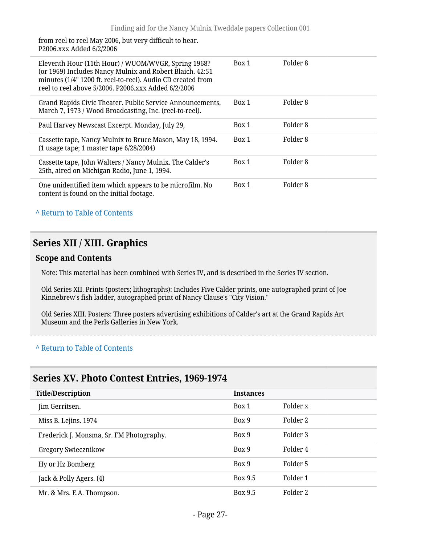from reel to reel May 2006, but very difficult to hear. P2006.xxx Added 6/2/2006

| Eleventh Hour (11th Hour) / WUOM/WVGR, Spring 1968?<br>(or 1969) Includes Nancy Mulnix and Robert Blaich. 42:51<br>minutes (1/4" 1200 ft. reel-to-reel). Audio CD created from<br>reel to reel above 5/2006. P2006.xxx Added 6/2/2006 | Box 1 | Folder <sub>8</sub> |
|---------------------------------------------------------------------------------------------------------------------------------------------------------------------------------------------------------------------------------------|-------|---------------------|
| Grand Rapids Civic Theater. Public Service Announcements,<br>March 7, 1973 / Wood Broadcasting, Inc. (reel-to-reel).                                                                                                                  | Box 1 | Folder 8            |
| Paul Harvey Newscast Excerpt. Monday, July 29,                                                                                                                                                                                        | Box 1 | Folder 8            |
| Cassette tape, Nancy Mulnix to Bruce Mason, May 18, 1994.<br>$(1$ usage tape; 1 master tape $6/28/2004$ )                                                                                                                             | Box 1 | Folder <sub>8</sub> |
| Cassette tape, John Walters / Nancy Mulnix. The Calder's<br>25th, aired on Michigan Radio, June 1, 1994.                                                                                                                              | Box 1 | Folder 8            |
| One unidentified item which appears to be microfilm. No<br>content is found on the initial footage.                                                                                                                                   | Box 1 | Folder <sub>8</sub> |

#### **^** [Return to Table of Contents](#page-1-0)

### <span id="page-26-0"></span>**Series XII / XIII. Graphics**

#### **Scope and Contents**

Note: This material has been combined with Series IV, and is described in the Series IV section.

Old Series XII. Prints (posters; lithographs): Includes Five Calder prints, one autographed print of Joe Kinnebrew's fish ladder, autographed print of Nancy Clause's "City Vision."

Old Series XIII. Posters: Three posters advertising exhibitions of Calder's art at the Grand Rapids Art Museum and the Perls Galleries in New York.

#### **^** [Return to Table of Contents](#page-1-0)

### <span id="page-26-1"></span>**Series XV. Photo Contest Entries, 1969-1974**

| <b>Title/Description</b>                 | <b>Instances</b> |          |
|------------------------------------------|------------------|----------|
| Jim Gerritsen.                           | Box 1            | Folder x |
| Miss B. Lejins. 1974                     | Box 9            | Folder 2 |
| Frederick J. Monsma, Sr. FM Photography. | Box 9            | Folder 3 |
| Gregory Swiecznikow                      | Box 9            | Folder 4 |
| Hy or Hz Bomberg                         | Box 9            | Folder 5 |
| Jack & Polly Agers. (4)                  | Box 9.5          | Folder 1 |
| Mr. & Mrs. E.A. Thompson.                | Box 9.5          | Folder 2 |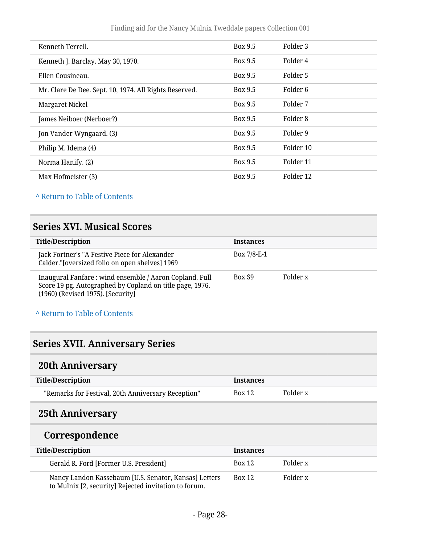| Kenneth Terrell.                                       | Box 9.5 | Folder 3  |
|--------------------------------------------------------|---------|-----------|
| Kenneth J. Barclay. May 30, 1970.                      | Box 9.5 | Folder 4  |
| Ellen Cousineau.                                       | Box 9.5 | Folder 5  |
| Mr. Clare De Dee. Sept. 10, 1974. All Rights Reserved. | Box 9.5 | Folder 6  |
| Margaret Nickel                                        | Box 9.5 | Folder 7  |
| James Neiboer (Nerboer?)                               | Box 9.5 | Folder 8  |
| Jon Vander Wyngaard. (3)                               | Box 9.5 | Folder 9  |
| Philip M. Idema (4)                                    | Box 9.5 | Folder 10 |
| Norma Hanify. (2)                                      | Box 9.5 | Folder 11 |
| Max Hofmeister (3)                                     | Box 9.5 | Folder 12 |

### **^** [Return to Table of Contents](#page-1-0)

### <span id="page-27-0"></span>**Series XVI. Musical Scores**

| <b>Title/Description</b>                                                                                                                                | <b>Instances</b> |          |
|---------------------------------------------------------------------------------------------------------------------------------------------------------|------------------|----------|
| Jack Fortner's "A Festive Piece for Alexander<br>Calder."[oversized folio on open shelves] 1969                                                         | Box $7/8$ -E-1   |          |
| Inaugural Fanfare: wind ensemble / Aaron Copland. Full<br>Score 19 pg. Autographed by Copland on title page, 1976.<br>(1960) (Revised 1975). [Security] | Box S9           | Folder x |

#### **^** [Return to Table of Contents](#page-1-0)

## <span id="page-27-1"></span>**Series XVII. Anniversary Series**

## <span id="page-27-2"></span>**20th Anniversary**

| <b>Title/Description</b>                           | <b>Instances</b> |          |
|----------------------------------------------------|------------------|----------|
| "Remarks for Festival, 20th Anniversary Reception" | <b>Box 12</b>    | Folder x |

### <span id="page-27-3"></span>**25th Anniversary**

### **Correspondence**

| <b>Title/Description</b>                                                                                       | <b>Instances</b> |          |
|----------------------------------------------------------------------------------------------------------------|------------------|----------|
| Gerald R. Ford [Former U.S. President]                                                                         | <b>Box 12</b>    | Folder x |
| Nancy Landon Kassebaum [U.S. Senator, Kansas] Letters<br>to Mulnix [2, security] Rejected invitation to forum. | <b>Box 12</b>    | Folder x |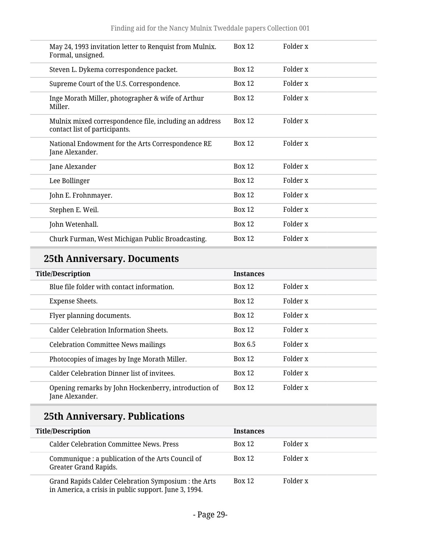| May 24, 1993 invitation letter to Renquist from Mulnix.<br>Formal, unsigned.            | <b>Box 12</b> | Folder x |
|-----------------------------------------------------------------------------------------|---------------|----------|
| Steven L. Dykema correspondence packet.                                                 | <b>Box 12</b> | Folder x |
| Supreme Court of the U.S. Correspondence.                                               | <b>Box 12</b> | Folder x |
| Inge Morath Miller, photographer & wife of Arthur<br>Miller.                            | <b>Box 12</b> | Folder x |
| Mulnix mixed correspondence file, including an address<br>contact list of participants. | <b>Box 12</b> | Folder x |
| National Endowment for the Arts Correspondence RE<br>Jane Alexander.                    | <b>Box 12</b> | Folder x |
| Jane Alexander                                                                          | <b>Box 12</b> | Folder x |
| Lee Bollinger                                                                           | <b>Box 12</b> | Folder x |
| John E. Frohnmayer.                                                                     | <b>Box 12</b> | Folder x |
| Stephen E. Weil.                                                                        | <b>Box 12</b> | Folder x |
| John Wetenhall.                                                                         | <b>Box 12</b> | Folder x |
| Churk Furman, West Michigan Public Broadcasting.                                        | <b>Box 12</b> | Folder x |
|                                                                                         |               |          |

## **25th Anniversary. Documents**

| <b>Title/Description</b>                                                | <b>Instances</b> |          |
|-------------------------------------------------------------------------|------------------|----------|
| Blue file folder with contact information.                              | <b>Box 12</b>    | Folder x |
| <b>Expense Sheets.</b>                                                  | <b>Box 12</b>    | Folder x |
| Flyer planning documents.                                               | <b>Box 12</b>    | Folder x |
| <b>Calder Celebration Information Sheets.</b>                           | Box 12           | Folder x |
| <b>Celebration Committee News mailings</b>                              | Box 6.5          | Folder x |
| Photocopies of images by Inge Morath Miller.                            | <b>Box 12</b>    | Folder x |
| Calder Celebration Dinner list of invitees.                             | Box 12           | Folder x |
| Opening remarks by John Hockenberry, introduction of<br>Jane Alexander. | <b>Box 12</b>    | Folder x |

# **25th Anniversary. Publications**

| <b>Title/Description</b>                                                                                      | <b>Instances</b> |          |
|---------------------------------------------------------------------------------------------------------------|------------------|----------|
| Calder Celebration Committee News, Press                                                                      | <b>Box 12</b>    | Folder x |
| Communique : a publication of the Arts Council of<br>Greater Grand Rapids.                                    | <b>Box 12</b>    | Folder x |
| Grand Rapids Calder Celebration Symposium : the Arts<br>in America, a crisis in public support. June 3, 1994. | Box 12           | Folder x |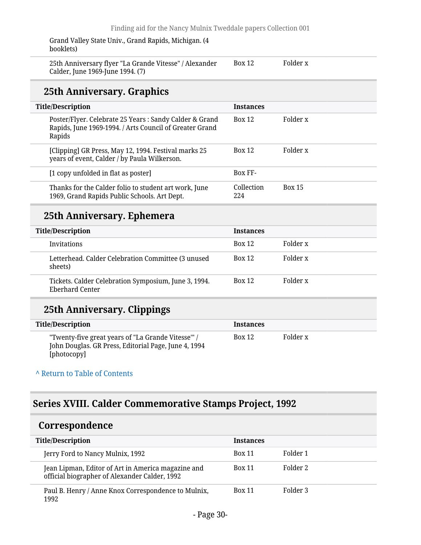Grand Valley State Univ., Grand Rapids, Michigan. (4 booklets)

| 25th Anniversary flyer "La Grande Vitesse" / Alexander | <b>Box 12</b> | Folder x |
|--------------------------------------------------------|---------------|----------|
| Calder, June 1969-June 1994. (7)                       |               |          |

### **25th Anniversary. Graphics**

| <b>Title/Description</b>                                                                                                    | <b>Instances</b>  |               |
|-----------------------------------------------------------------------------------------------------------------------------|-------------------|---------------|
| Poster/Flyer. Celebrate 25 Years: Sandy Calder & Grand<br>Rapids, June 1969-1994. / Arts Council of Greater Grand<br>Rapids | <b>Box 12</b>     | Folder x      |
| [Clipping] GR Press, May 12, 1994. Festival marks 25<br>years of event, Calder / by Paula Wilkerson.                        | <b>Box 12</b>     | Folder x      |
| [1 copy unfolded in flat as poster]                                                                                         | <b>Box FF-</b>    |               |
| Thanks for the Calder folio to student art work, June<br>1969, Grand Rapids Public Schools. Art Dept.                       | Collection<br>224 | <b>Box 15</b> |

## **25th Anniversary. Ephemera**

| <b>Title/Description</b>                                                | <b>Instances</b> |          |
|-------------------------------------------------------------------------|------------------|----------|
| <b>Invitations</b>                                                      | <b>Box 12</b>    | Folder x |
| Letterhead. Calder Celebration Committee (3 unused<br>sheets)           | <b>Box 12</b>    | Folder x |
| Tickets. Calder Celebration Symposium, June 3, 1994.<br>Eberhard Center | <b>Box 12</b>    | Folder x |

## **25th Anniversary. Clippings**

| <b>Title/Description</b>                                                                                                  | <b>Instances</b> |          |
|---------------------------------------------------------------------------------------------------------------------------|------------------|----------|
| "Twenty-five great years of "La Grande Vitesse"" /<br>John Douglas. GR Press, Editorial Page, June 4, 1994<br>[photocopy] | <b>Box 12</b>    | Folder x |

#### **^** [Return to Table of Contents](#page-1-0)

## <span id="page-29-0"></span>**Series XVIII. Calder Commemorative Stamps Project, 1992**

### <span id="page-29-1"></span>**Correspondence**

| <b>Title/Description</b>                                                                            | <b>Instances</b> |          |
|-----------------------------------------------------------------------------------------------------|------------------|----------|
| Jerry Ford to Nancy Mulnix, 1992                                                                    | <b>Box 11</b>    | Folder 1 |
| Jean Lipman, Editor of Art in America magazine and<br>official biographer of Alexander Calder, 1992 | <b>Box 11</b>    | Folder 2 |
| Paul B. Henry / Anne Knox Correspondence to Mulnix,<br>1992                                         | <b>Box 11</b>    | Folder 3 |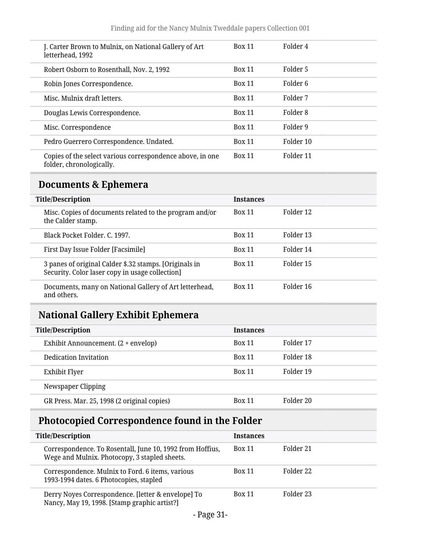| J. Carter Brown to Mulnix, on National Gallery of Art<br>letterhead, 1992             | <b>Box 11</b> | Folder 4  |
|---------------------------------------------------------------------------------------|---------------|-----------|
| Robert Osborn to Rosenthall, Nov. 2, 1992                                             | <b>Box 11</b> | Folder 5  |
| Robin Jones Correspondence.                                                           | <b>Box 11</b> | Folder 6  |
| Misc. Mulnix draft letters.                                                           | <b>Box 11</b> | Folder 7  |
| Douglas Lewis Correspondence.                                                         | <b>Box 11</b> | Folder 8  |
| Misc. Correspondence                                                                  | <b>Box 11</b> | Folder 9  |
| Pedro Guerrero Correspondence. Undated.                                               | <b>Box 11</b> | Folder 10 |
| Copies of the select various correspondence above, in one<br>folder, chronologically. | <b>Box 11</b> | Folder 11 |

## <span id="page-30-0"></span>**Documents & Ephemera**

| <b>Title/Description</b>                                                                                  | <b>Instances</b> |           |
|-----------------------------------------------------------------------------------------------------------|------------------|-----------|
| Misc. Copies of documents related to the program and/or<br>the Calder stamp.                              | <b>Box 11</b>    | Folder 12 |
| Black Pocket Folder, C. 1997.                                                                             | <b>Box 11</b>    | Folder 13 |
| First Day Issue Folder [Facsimile]                                                                        | <b>Box 11</b>    | Folder 14 |
| 3 panes of original Calder \$.32 stamps. [Originals in<br>Security. Color laser copy in usage collection] | <b>Box 11</b>    | Folder 15 |
| Documents, many on National Gallery of Art letterhead,<br>and others.                                     | <b>Box 11</b>    | Folder 16 |

# <span id="page-30-1"></span>**National Gallery Exhibit Ephemera**

| <b>Title/Description</b>                    | <b>Instances</b> |           |
|---------------------------------------------|------------------|-----------|
| Exhibit Announcement. (2 + envelop)         | <b>Box 11</b>    | Folder 17 |
| Dedication Invitation                       | <b>Box 11</b>    | Folder 18 |
| Exhibit Flyer                               | <b>Box 11</b>    | Folder 19 |
| Newspaper Clipping                          |                  |           |
| GR Press. Mar. 25, 1998 (2 original copies) | <b>Box 11</b>    | Folder 20 |

## <span id="page-30-2"></span>**Photocopied Correspondence found in the Folder**

| <b>Title/Description</b>                                                                                   | <b>Instances</b> |           |
|------------------------------------------------------------------------------------------------------------|------------------|-----------|
| Correspondence. To Rosentall, June 10, 1992 from Hoffius,<br>Wege and Mulnix. Photocopy, 3 stapled sheets. | <b>Box 11</b>    | Folder 21 |
| Correspondence. Mulnix to Ford. 6 items, various<br>1993-1994 dates. 6 Photocopies, stapled                | <b>Box 11</b>    | Folder 22 |
| Derry Noyes Correspondence. [letter & envelope] To<br>Nancy, May 19, 1998. [Stamp graphic artist?]         | <b>Box 11</b>    | Folder 23 |